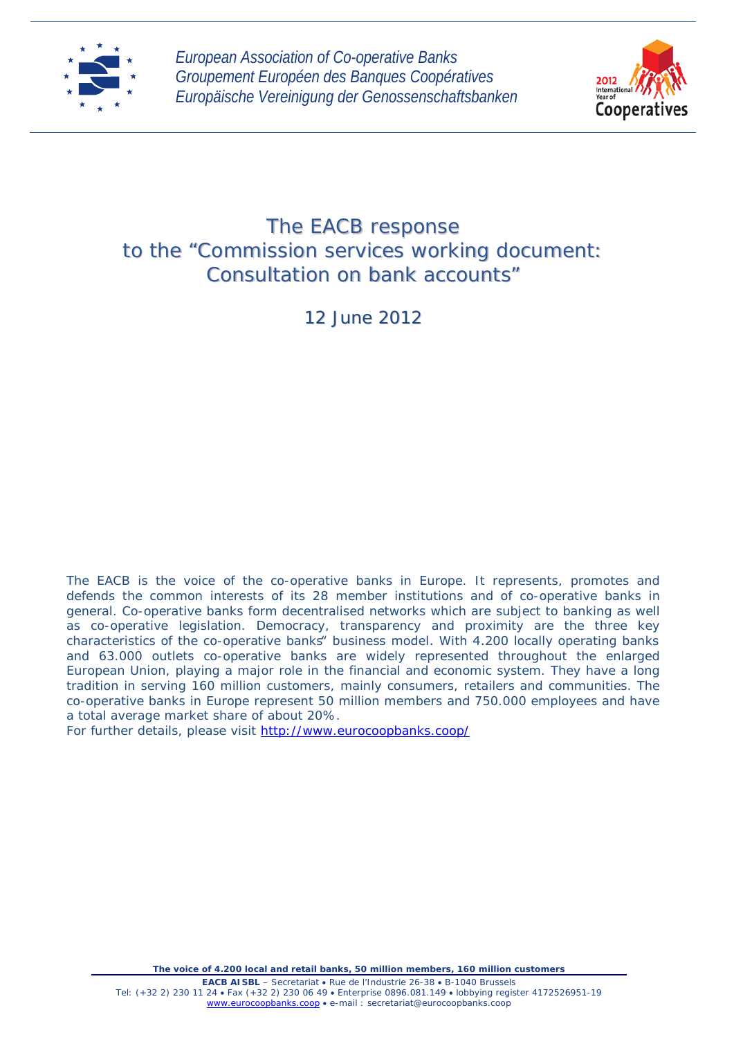



# The EACB response to the "*Commission services working document: Consultation on bank accounts"*

12 June 2012

The EACB is the voice of the co-operative banks in Europe. It represents, promotes and defends the common interests of its 28 member institutions and of co-operative banks in general. Co-operative banks form decentralised networks which are subject to banking as well as co-operative legislation. Democracy, transparency and proximity are the three key characteristics of the co-operative banks" business model. With 4.200 locally operating banks and 63.000 outlets co-operative banks are widely represented throughout the enlarged European Union, playing a major role in the financial and economic system. They have a long tradition in serving 160 million customers, mainly consumers, retailers and communities. The co-operative banks in Europe represent 50 million members and 750.000 employees and have a total average market share of about 20%.

For further details, please visit<http://www.eurocoopbanks.coop/>

*The voice of 4.200 local and retail banks, 50 million members, 160 million customers*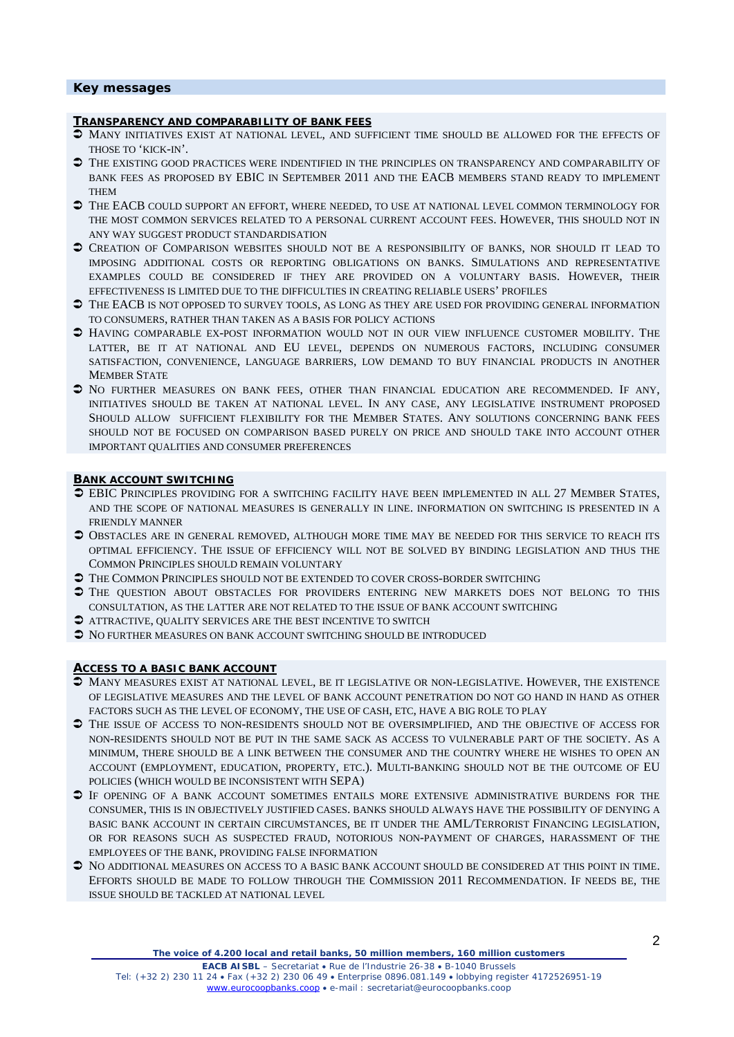# **Key messages**

#### **TRANSPARENCY AND COMPARABILITY OF BANK FEES**

- $\heartsuit$  MANY INITIATIVES EXIST AT NATIONAL LEVEL, AND SUFFICIENT TIME SHOULD BE ALLOWED FOR THE EFFECTS OF THOSE TO 'KICK-IN'.
- $\supset$  THE EXISTING GOOD PRACTICES WERE INDENTIFIED IN THE PRINCIPLES ON TRANSPARENCY AND COMPARABILITY OF BANK FEES AS PROPOSED BY EBIC IN SEPTEMBER 2011 AND THE EACB MEMBERS STAND READY TO IMPLEMENT THEM
- THE EACB COULD SUPPORT AN EFFORT, WHERE NEEDED, TO USE AT NATIONAL LEVEL COMMON TERMINOLOGY FOR THE MOST COMMON SERVICES RELATED TO A PERSONAL CURRENT ACCOUNT FEES. HOWEVER, THIS SHOULD NOT IN ANY WAY SUGGEST PRODUCT STANDARDISATION
- CREATION OF COMPARISON WEBSITES SHOULD NOT BE A RESPONSIBILITY OF BANKS, NOR SHOULD IT LEAD TO IMPOSING ADDITIONAL COSTS OR REPORTING OBLIGATIONS ON BANKS. SIMULATIONS AND REPRESENTATIVE EXAMPLES COULD BE CONSIDERED IF THEY ARE PROVIDED ON A VOLUNTARY BASIS. HOWEVER, THEIR EFFECTIVENESS IS LIMITED DUE TO THE DIFFICULTIES IN CREATING RELIABLE USERS' PROFILES
- $\supset$  THE EACB IS NOT OPPOSED TO SURVEY TOOLS, AS LONG AS THEY ARE USED FOR PROVIDING GENERAL INFORMATION TO CONSUMERS, RATHER THAN TAKEN AS A BASIS FOR POLICY ACTIONS
- $\supset$  HAVING COMPARABLE EX-POST INFORMATION WOULD NOT IN OUR VIEW INFLUENCE CUSTOMER MOBILITY. THE LATTER, BE IT AT NATIONAL AND EU LEVEL, DEPENDS ON NUMEROUS FACTORS, INCLUDING CONSUMER SATISFACTION, CONVENIENCE, LANGUAGE BARRIERS, LOW DEMAND TO BUY FINANCIAL PRODUCTS IN ANOTHER MEMBER STATE
- $\supset$  No further measures on bank fees, other than financial education are recommended. If any, INITIATIVES SHOULD BE TAKEN AT NATIONAL LEVEL. IN ANY CASE, ANY LEGISLATIVE INSTRUMENT PROPOSED SHOULD ALLOW SUFFICIENT FLEXIBILITY FOR THE MEMBER STATES. ANY SOLUTIONS CONCERNING BANK FEES SHOULD NOT BE FOCUSED ON COMPARISON BASED PURELY ON PRICE AND SHOULD TAKE INTO ACCOUNT OTHER IMPORTANT QUALITIES AND CONSUMER PREFERENCES

#### **BANK ACCOUNT SWITCHING**

- EBIC PRINCIPLES PROVIDING FOR A SWITCHING FACILITY HAVE BEEN IMPLEMENTED IN ALL 27 MEMBER STATES, AND THE SCOPE OF NATIONAL MEASURES IS GENERALLY IN LINE. INFORMATION ON SWITCHING IS PRESENTED IN A FRIENDLY MANNER
- $\supset$  Obstacles are in general removed, although more time may be needed for this service to reach its OPTIMAL EFFICIENCY. THE ISSUE OF EFFICIENCY WILL NOT BE SOLVED BY BINDING LEGISLATION AND THUS THE COMMON PRINCIPLES SHOULD REMAIN VOLUNTARY
- $\supset$  THE COMMON PRINCIPLES SHOULD NOT BE EXTENDED TO COVER CROSS-BORDER SWITCHING
- $\supset$  THE QUESTION ABOUT OBSTACLES FOR PROVIDERS ENTERING NEW MARKETS DOES NOT BELONG TO THIS CONSULTATION, AS THE LATTER ARE NOT RELATED TO THE ISSUE OF BANK ACCOUNT SWITCHING
- ATTRACTIVE, QUALITY SERVICES ARE THE BEST INCENTIVE TO SWITCH
- $\supset$  No further measures on bank account switching should be introduced

#### **ACCESS TO A BASIC BANK ACCOUNT**

- MANY MEASURES EXIST AT NATIONAL LEVEL, BE IT LEGISLATIVE OR NON-LEGISLATIVE. HOWEVER, THE EXISTENCE OF LEGISLATIVE MEASURES AND THE LEVEL OF BANK ACCOUNT PENETRATION DO NOT GO HAND IN HAND AS OTHER FACTORS SUCH AS THE LEVEL OF ECONOMY, THE USE OF CASH, ETC, HAVE A BIG ROLE TO PLAY
- THE ISSUE OF ACCESS TO NON-RESIDENTS SHOULD NOT BE OVERSIMPLIFIED, AND THE OBJECTIVE OF ACCESS FOR NON-RESIDENTS SHOULD NOT BE PUT IN THE SAME SACK AS ACCESS TO VULNERABLE PART OF THE SOCIETY. AS A MINIMUM, THERE SHOULD BE A LINK BETWEEN THE CONSUMER AND THE COUNTRY WHERE HE WISHES TO OPEN AN ACCOUNT (EMPLOYMENT, EDUCATION, PROPERTY, ETC.). MULTI-BANKING SHOULD NOT BE THE OUTCOME OF EU POLICIES (WHICH WOULD BE INCONSISTENT WITH SEPA)
- IF OPENING OF A BANK ACCOUNT SOMETIMES ENTAILS MORE EXTENSIVE ADMINISTRATIVE BURDENS FOR THE CONSUMER, THIS IS IN OBJECTIVELY JUSTIFIED CASES. BANKS SHOULD ALWAYS HAVE THE POSSIBILITY OF DENYING A BASIC BANK ACCOUNT IN CERTAIN CIRCUMSTANCES, BE IT UNDER THE AML/TERRORIST FINANCING LEGISLATION, OR FOR REASONS SUCH AS SUSPECTED FRAUD, NOTORIOUS NON-PAYMENT OF CHARGES, HARASSMENT OF THE EMPLOYEES OF THE BANK, PROVIDING FALSE INFORMATION
- $\supset$  No additional measures on access to a basic bank account should be considered at this point in time. EFFORTS SHOULD BE MADE TO FOLLOW THROUGH THE COMMISSION 2011 RECOMMENDATION. IF NEEDS BE, THE ISSUE SHOULD BE TACKLED AT NATIONAL LEVEL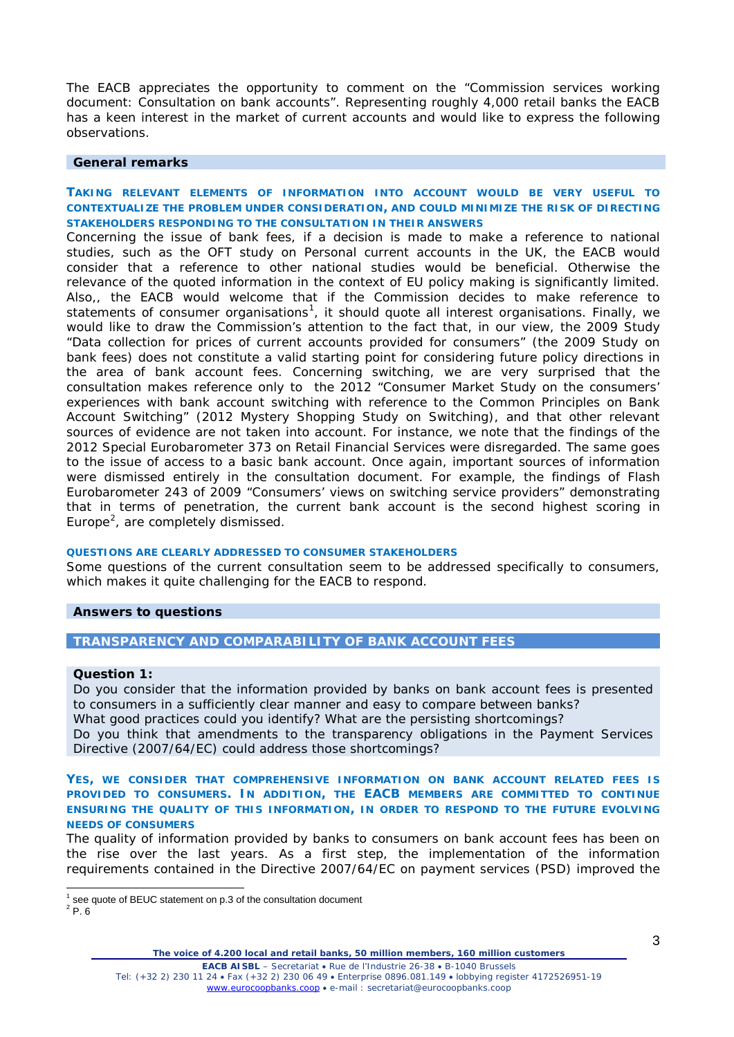The EACB appreciates the opportunity to comment on the "*Commission services working document: Consultation on bank accounts".* Representing roughly 4,000 retail banks the EACB has a keen interest in the market of current accounts and would like to express the following observations.

## **General remarks**

# **TAKING RELEVANT ELEMENTS OF INFORMATION INTO ACCOUNT WOULD BE VERY USEFUL TO CONTEXTUALIZE THE PROBLEM UNDER CONSIDERATION, AND COULD MINIMIZE THE RISK OF DIRECTING STAKEHOLDERS RESPONDING TO THE CONSULTATION IN THEIR ANSWERS**

Concerning the issue of bank fees, if a decision is made to make a reference to national studies, such as the OFT study on *Personal current accounts in the UK,* the EACB would consider that a reference to other national studies would be beneficial. Otherwise the relevance of the quoted information in the context of EU policy making is significantly limited. Also,, the EACB would welcome that if the Commission decides to make reference to statements of consumer organisations<sup>[1](#page-2-0)</sup>, it should quote all interest organisations. Finally, we would like to draw the Commission's attention to the fact that, in our view, the 2009 Study *"Data collection for prices of current accounts provided for consumers"* (the 2009 Study on bank fees) does not constitute a valid starting point for considering future policy directions in the area of bank account fees. Concerning switching, we are very surprised that the consultation makes reference only to the 2012 *"Consumer Market Study on the consumers' experiences with bank account switching with reference to the Common Principles on Bank Account Switching"* (2012 Mystery Shopping Study on Switching), and that other relevant sources of evidence are not taken into account. For instance, we note that the findings of the 2012 *Special Eurobarometer 373 on Retail Financial Services* were disregarded. The same goes to the issue of access to a basic bank account. Once again, important sources of infor*mation*  were dismissed entirely in the consultation document. For example, the findings of *Flash Eurobarometer 243 of 2009 "Consumers' views on switching service providers"* demonstrating that in terms of penetration, the current bank account is the second highest scoring in Europe<sup>[2](#page-2-1)</sup>, are completely dismissed.

#### **QUESTIONS ARE CLEARLY ADDRESSED TO CONSUMER STAKEHOLDERS**

Some questions of the current consultation seem to be addressed specifically to consumers, which makes it quite challenging for the EACB to respond.

#### **Answers to questions**

## **TRANSPARENCY AND COMPARABILITY OF BANK ACCOU***NT FEES*

#### *Question 1:*

*Do* you consider that the information provided by banks on bank account fees is presented to consumers in a sufficiently clear manner and easy to compare between banks? What good practices could you identify? What are the persisting shortcomings? Do you think that amendments to the transparency obligations in the Payment Services Directive (2007/64/EC) could address those shortcomings?

**YES, WE CONSIDER THAT COMPREHENSIVE INFORMATION ON BANK ACCOUNT RELATED FEES IS PROVIDED TO CONSUMERS. IN ADDITION, THE EACB MEMBERS ARE COMMITTED TO CONTINUE ENSURING THE QUALITY OF THIS INFORMATION, IN ORDER TO RESPOND TO THE FUTURE EVOLVING NEEDS OF CONSUMERS**

The quality of information provided by banks to consumers on bank account fees has been on the rise over the last years. As a first step, the implementation of the information requirements contained in the Directive 2007/64/EC on payment services (PSD) improved the

 $1$  see quote of BEUC statement on p.3 of the consultation document

<span id="page-2-1"></span><span id="page-2-0"></span> $2$  P. 6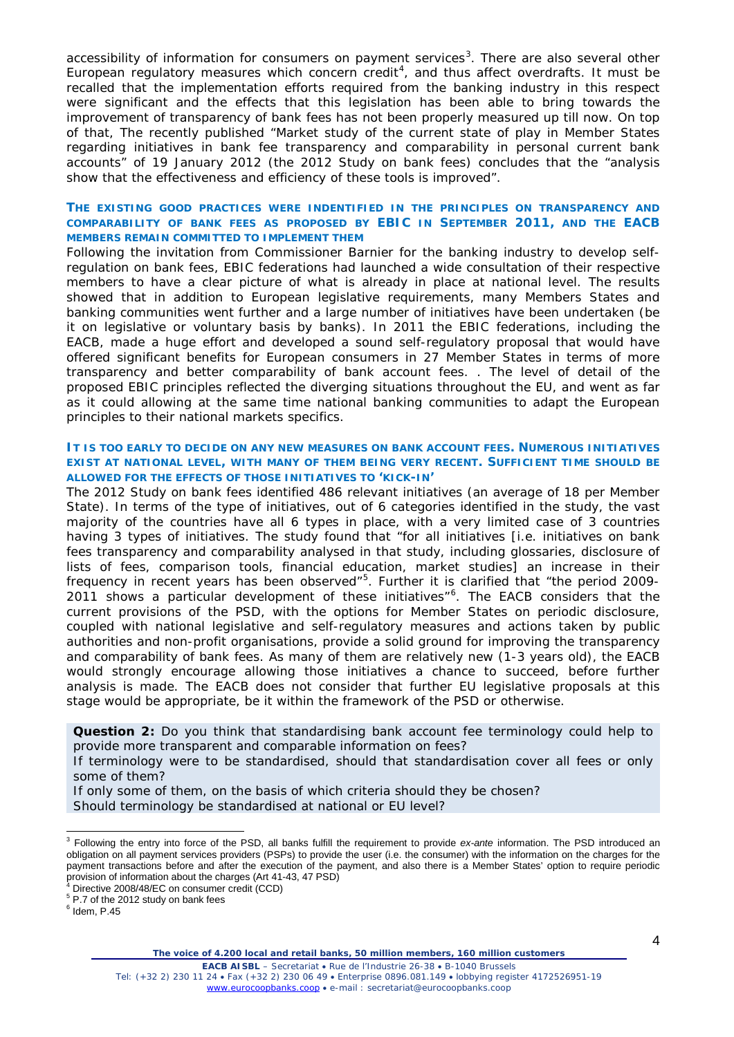accessibility of information for consumers on payment services<sup>[3](#page-3-0)</sup>. There are also several other European regulatory measures which concern credit<sup>[4](#page-3-1)</sup>, and thus affect overdrafts. It must be recalled that the implementation efforts required from the banking industry in this respect were significant and the effects that this legislation has been able to bring towards the improvement of transparency of bank fees has not been properly measured up till now. On top of that, The recently published *"Market study of the current state of play in Member States regarding initiatives in bank fee transparency and comparability in personal current bank accounts"* of 19 January 2012 (the 2012 Study on bank fees) concludes that the *"analysis show that the effectiveness and efficiency of these tools is improved".* 

# **THE EXISTING GOOD PRACTICES WERE INDENTIFIED IN THE PRINCIPLES ON TRANSPARENCY AND COMPARABILITY OF BANK FEES AS PROPOSED BY EBIC IN SEPTEMBER 2011, AND THE EACB MEMBERS REMAIN COMMITTED TO IMPLEMENT THEM**

Following the invitation from Commissioner Barnier for the banking industry to develop selfregulation on bank fees, EBIC federations had launched a wide consultation of their respective members to have a clear picture of what is already in place at national level. The results showed that in addition to European legislative requirements, many Members States and banking communities went further and a large number of initiatives have been undertaken (be it on legislative or voluntary basis by banks). In 2011 the EBIC federations, including the EACB, made a huge effort and developed a sound self-regulatory proposal that would have offered significant benefits for European consumers in 27 Member States in terms of more transparency and better comparability of bank account fees. . The level of detail of the proposed EBIC principles reflected the diverging situations throughout the EU, and went as far as it could allowing at the same time national banking communities to adapt the European principles to their national markets specifics.

# **IT IS TOO EARLY TO DECIDE ON ANY NEW MEASURES ON BANK ACCOUNT FEES. NUMEROUS INITIATIVES EXIST AT NATIONAL LEVEL, WITH MANY OF THEM BEING VERY RECENT. SUFFICIENT TIME SHOULD BE ALLOWED FOR THE EFFECTS OF THOSE INITIATIVES TO 'KICK-IN'**

The 2012 Study on bank fees identified 486 relevant initiatives (an average of 18 per Member State). In terms of the type of initiatives, out of 6 categories identified in the study, the vast majority of the countries have all 6 types in place, with a very limited case of 3 countries having 3 types of initiatives. The study found that "*for all initiatives* [i.e. initiatives on bank fees transparency and comparability analysed in that study, including glossaries, disclosure of lists of fees, comparison tools, financial education, market studies] *an increase in their frequency in recent years has been observed"[5](#page-3-2)* . Further it is clarified that *"the period 2009- 2011 shows a particular development of these initiatives"[6](#page-3-3) .* The EACB considers that the current provisions of the PSD, with the options for Member States on periodic disclosure, coupled with national legislative and self-regulatory measures and actions taken by public authorities and non-profit organisations, provide a solid ground for improving the transparency and comparability of bank fees. As many of them are relatively new (1-3 years old), the EACB would strongly encourage allowing those initiatives a chance to succeed, before further analysis is made. The EACB does not consider that further EU legislative proposals at this stage would be appropriate, be it within the framework of the PSD or otherwise.

**Question 2:** Do you think that standardising bank account fee terminology could help to provide more transparent and comparable information on fees?

If terminology were to be standardised, should that standardisation cover all fees or only some of them?

If only some of them, on the basis of which criteria should they be chosen? Should terminology be standardised at national or EU level?

<span id="page-3-0"></span> <sup>3</sup> Following the entry into force of the PSD, all banks fulfill the requirement to provide *ex-ante* information. The PSD introduced an obligation on all payment services providers (PSPs) to provide the user (i.e. the consumer) with the information on the charges for the payment transactions before and after the execution of the payment, and also there is a Member States' option to require periodic provision of information about the charges (Art 41-43, 47 PSD)<br><sup>4</sup> Directive 2008/48/EC on consumer credit (CCD)

<span id="page-3-1"></span>

<span id="page-3-2"></span><sup>5</sup> P.7 of the 2012 study on bank fees

<span id="page-3-3"></span> $<sup>6</sup>$  Idem, P.45</sup>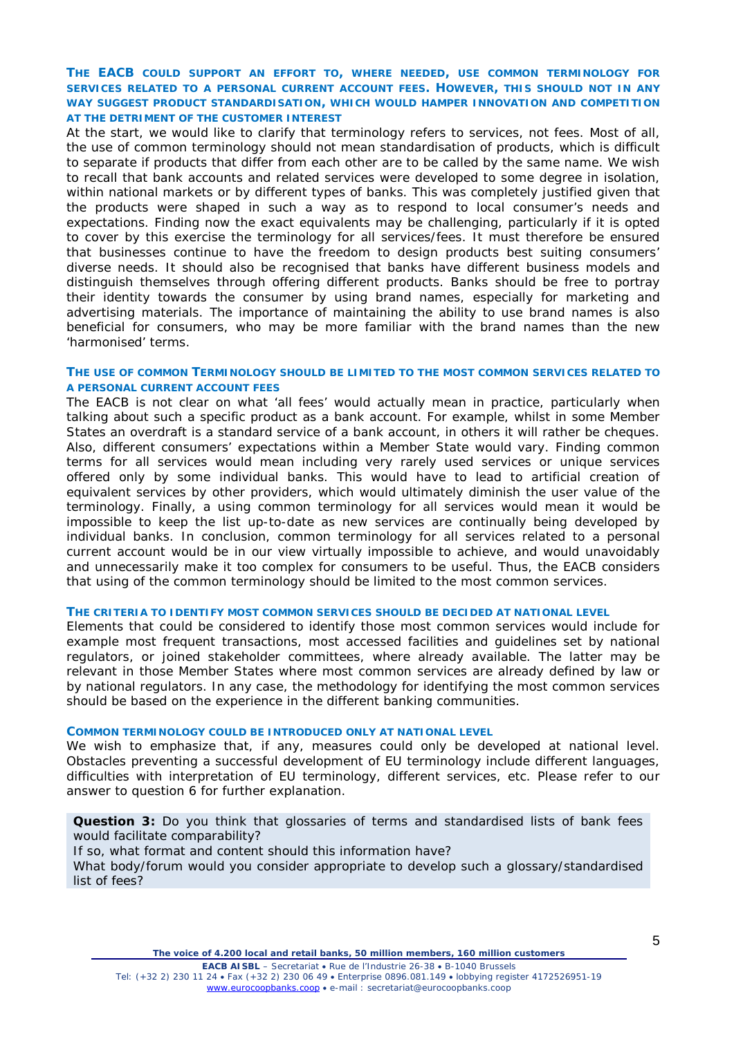# **THE EACB COULD SUPPORT AN EFFORT TO, WHERE NEEDED, USE COMMON TERMINOLOGY FOR SERVICES RELATED TO A PERSONAL CURRENT ACCOUNT FEES. HOWEVER, THIS SHOULD NOT IN ANY WAY SUGGEST PRODUCT STANDARDISATION, WHICH WOULD HAMPER INNOVATION AND COMPETITION AT THE DETRIMENT OF THE CUSTOMER INTEREST**

At the start, we would like to clarify that terminology refers to services, not fees. Most of all, the use of common terminology should not mean standardisation of products, which is difficult to separate if products that differ from each other are to be called by the same name. We wish to recall that bank accounts and related services were developed to some degree in isolation, within national markets or by different types of banks. This was completely justified given that the products were shaped in such a way as to respond to local consumer's needs and expectations. Finding now the exact equivalents may be challenging, particularly if it is opted to cover by this exercise the terminology for all services/fees*.* It must therefore be ensured that businesses continue to have the freedom to design products best suiting consumers' diverse needs. It should also be recognised that banks have different business models and distinguish themselves through offering different products. Banks should be free to portray their identity towards the consumer by using brand names, especially for marketing and advertising materials. The importance of maintaining the ability to use brand names is also beneficial for consumers, who may be more familiar with the brand names than the new 'harmonised' terms.

## **THE USE OF COMMON TERMINOLOGY SHOULD BE LIMITED TO THE MOST COMMON SERVICES RELATED TO A PERSONAL CURRENT ACCOUNT FEES**

The EACB is not clear on what *'all fees'* would actually mean in practice, particularly when talking about such a specific product as a bank account. For example, whilst in some Member States an overdraft is a standard service of a bank account, in others it will rather be cheques. Also, different consumers' expectations within a Member State would vary. Finding common terms for all services would mean including very rarely used services or unique services offered only by some individual banks. This would have to lead to artificial creation of equivalent services by other providers, which would ultimately diminish the user value of the terminology. Finally, a using common terminology for all services would mean it would be impossible to keep the list up-to-date as new services are continually being developed by individual banks. In conclusion, common terminology for all services related to a personal current account would be in our view virtually impossible to achieve, and would unavoidably and unnecessarily make it too complex for consumers to be useful. Thus, the EACB considers that using of the common terminology should be limited to the most common services.

#### **THE CRITERIA TO IDENTIFY MOST COMMON SERVICES SHOULD BE DECIDED AT NATIONAL LEVEL**

Elements that could be considered to identify those most common services would include for example most frequent transactions, most accessed facilities and guidelines set by national regulators, or joined stakeholder committees, where already available. The latter may be relevant in those Member States where most common services are already defined by law or by national regulators. In any case, the methodology for identifying the most common services should be based on the experience in the different banking communities.

#### **COMMON TERMINOLOGY COULD BE INTRODUCED ONLY AT NATIONAL LEVEL**

We wish to emphasize that, if any, measures could only be developed at national level. Obstacles preventing a successful development of EU terminology include different languages, difficulties with interpretation of EU terminology, different services, etc. Please refer to our answer to question 6 for further explanation.

**Question 3:** Do you think that glossaries of terms and standardised lists of bank fees would facilitate comparability?

If so, what format and content should this information have?

What body/forum would you consider appropriate to develop such a glossary/standardised list of fees?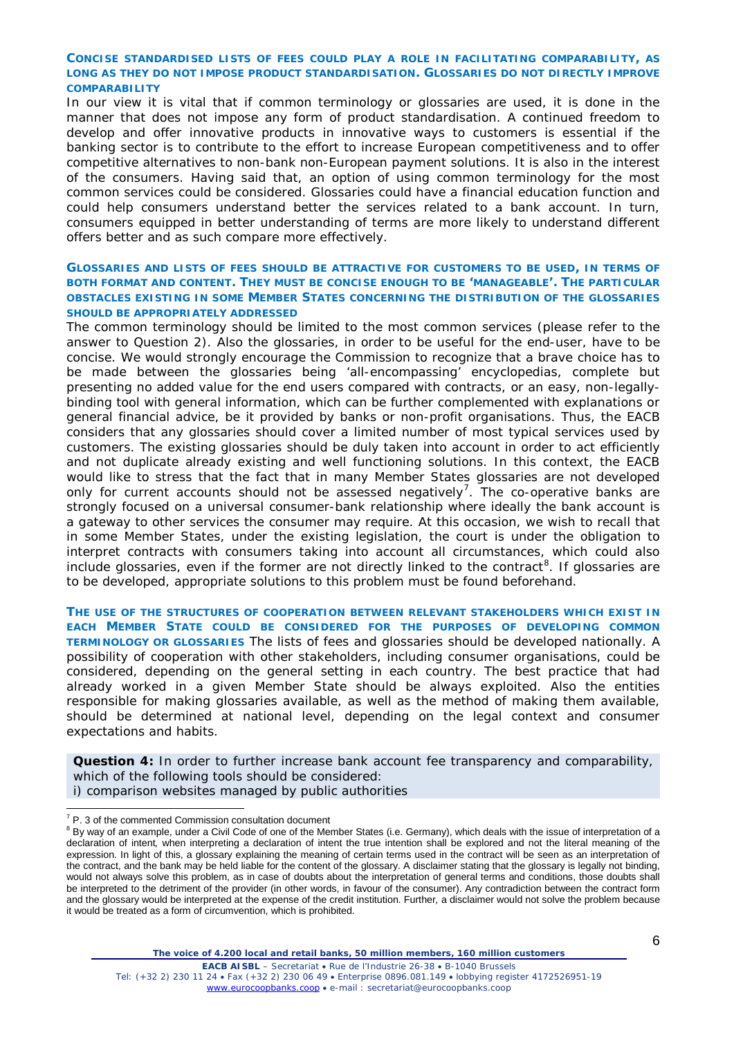# **CONCISE STANDARDISED LISTS OF FEES COULD PLAY A ROLE IN FACILITATING COMPARABILITY, AS LONG AS THEY DO NOT IMPOSE PRODUCT STANDARDISATION. GLOSSARIES DO NOT DIRECTLY IMPROVE COMPARABILITY**

In our view it is vital that if common terminology or glossaries are used, it is done in the manner that does not impose any form of product standardisation. A continued freedom to develop and offer innovative products in innovative ways to customers is essential if the banking sector is to contribute to the effort to increase European competitiveness and to offer competitive alternatives to non-bank non-European payment solutions. It is also in the interest of the consumers. Having said that, an option of using common terminology for the most common services could be considered. Glossaries could have a financial education function and could help consumers understand better the services related to a bank account. In turn, consumers equipped in better understanding of terms are more likely to understand different offers better and as such compare more effectively.

# **GLOSSARIES AND LISTS OF FEES SHOULD BE ATTRACTIVE FOR CUSTOMERS TO BE USED, IN TERMS OF BOTH FORMAT AND CONTENT. THEY MUST BE CONCISE ENOUGH TO BE 'MANAGEABLE'. THE PARTICULAR OBSTACLES EXISTING IN SOME MEMBER STATES CONCERNING THE DISTRIBUTION OF THE GLOSSARIES SHOULD BE APPROPRIATELY ADDRESSED**

The common terminology should be limited to the most common services (please refer to the answer to Question 2). Also the glossaries, in order to be useful for the end-user, have to be concise. We would strongly encourage the Commission to recognize that a brave choice has to be made between the glossaries being 'all-encompassing' encyclopedias, complete but presenting no added value for the end users compared with contracts, or an easy, non-legallybinding tool with general information, which can be further complemented with explanations or general financial advice, be it provided by banks or non-profit organisations. Thus, the EACB considers that any glossaries should cover a limited number of most typical services used by customers. The existing glossaries should be duly taken into account in order to act efficiently and not duplicate already existing and well functioning solutions. In this context, the EACB would like to stress that the fact that in many Member States glossaries are not developed only for current accounts should not be assessed negatively<sup>[7](#page-5-0)</sup>. The co-operative banks are strongly focused on a universal consumer-bank relationship where ideally the bank account is a gateway to other services the consumer may require. At this occasion, we wish to recall that in some Member States, under the existing legislation, the court is under the obligation to interpret contracts with consumers taking into account all circumstances, which could also include glossaries, even if the former are not directly linked to the contract<sup>[8](#page-5-1)</sup>. If glossaries are to be developed, appropriate solutions to this problem must be found beforehand.

**THE USE OF THE STRUCTURES OF COOPERATION BETWEEN RELEVANT STAKEHOLDERS WHICH EXIST IN EACH MEMBER STATE COULD BE CONSIDERED FOR THE PURPOSES OF DEVELOPING COMMON TERMINOLOGY OR GLOSSARIES** The lists of fees and glossaries should be developed nationally. A possibility of cooperation with other stakeholders, including consumer organisations, could be considered, depending on the general setting in each country. The best practice that had already worked in a given Member State should be always exploited. Also the entities responsible for making glossaries available, as well as the method of making them available, should be determined at national level, depending on the legal context and consumer expectations and habits.

**Question 4:** In order to further increase bank account fee transparency and comparability, which of the following tools should be considered:

i) comparison websites managed by public authorities

<span id="page-5-2"></span><span id="page-5-1"></span><span id="page-5-0"></span> $\sigma$  P. 3 of the commented Commission consultation document<br>  $\sigma$  By way of an example, under a Civil Code of one of the Member States (i.e. Germany), which deals with the issue of interpretation of a declaration of intent*,* when interpreting a declaration of intent the true intention shall be explored and not the literal meaning of the expression. In light of this, a glossary explaining the meaning of certain terms used in the contract will be seen as an interpretation of the contract, and the bank may be held liable for the content of the glossary. A disclaimer stating that the glossary is legally not binding, would not always solve this problem, as in case of doubts about the interpretation of general terms and conditions, those doubts shall be interpreted to the detriment of the provider (in other words, in favour of the consumer). Any contradiction between the contract form and the glossary would be interpreted at the expense of the credit institution. Further*,* a disclaimer would not solve the problem because it would be treated as a form of circumvention, which is prohibited.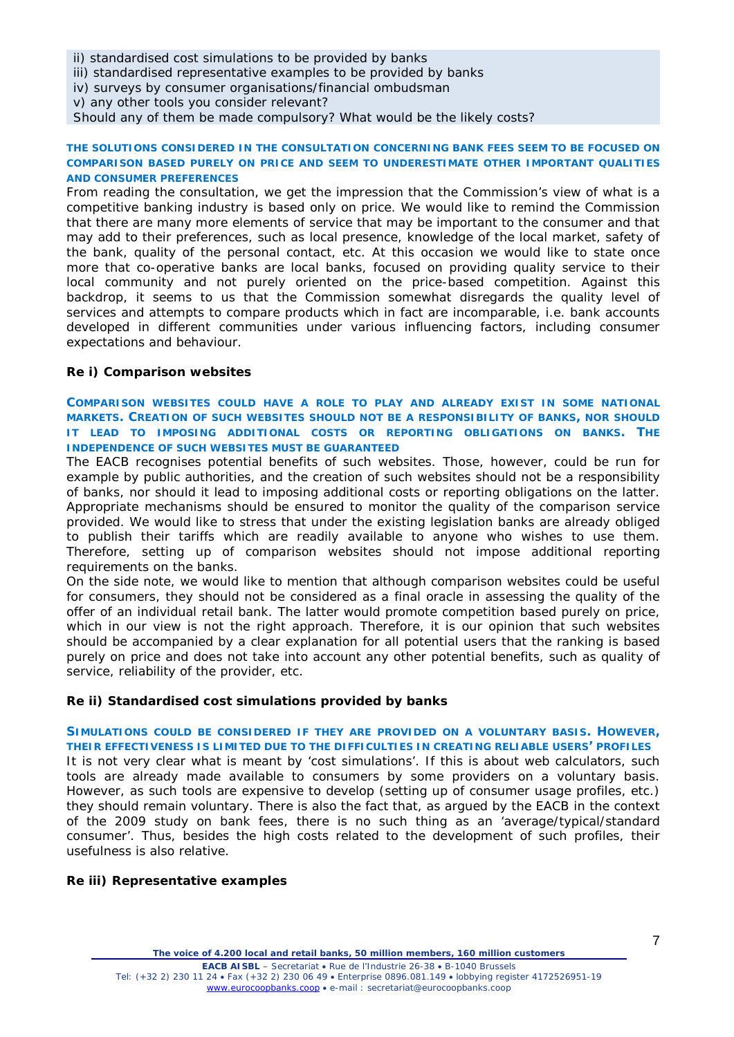ii) standardised cost simulations to be provided by banks

iii) standardised representative examples to be provided by banks

iv) surveys by consumer organisations/financial ombudsman

v) any other tools you consider relevant?

Should any of them be made compulsory? What would be the likely costs?

#### **THE SOLUTIONS CONSIDERED IN THE CONSULTATION CONCERNING BANK FEES SEEM TO BE FOCUSED ON COMPARISON BASED PURELY ON PRICE AND SEEM TO UNDERESTIMATE OTHER IMPORTANT QUALITIES AND CONSUMER PREFERENCES**

From reading the consultation, we get the impression that the Commission's view of what is a competitive banking industry is based only on price. We would like to remind the Commission that there are many more elements of service that may be important to the consumer and that may add to their preferences, such as local presence, knowledge of the local market, safety of the bank, quality of the personal contact, etc. At this occasion we would like to state once more that co-operative banks are local banks, focused on providing quality service to their local community and not purely oriented on the price-based competition. Against this backdrop, it seems to us that the Commission somewhat disregards the quality level of services and attempts to compare products which in fact are incomparable, i.e. bank accounts developed in different communities under various influencing factors, including consumer expectations and behaviour.

# **Re i) Comparison websites**

**COMPARISON WEBSITES COULD HAVE A ROLE TO PLAY AND ALREADY EXIST IN SOME NATIONAL MARKETS. CREATION OF SUCH WEBSITES SHOULD NOT BE A RESPONSIBILITY OF BANKS, NOR SHOULD IT LEAD TO IMPOSING ADDITIONAL COSTS OR REPORTING OBLIGATIONS ON BANKS. THE INDEPENDENCE OF SUCH WEBSITES MUST BE GUARANTEED** 

The EACB recognises potential benefits of such websites. Those, however, could be run for example by public authorities, and the creation of such websites should not be a responsibility of banks, nor should it lead to imposing additional costs or reporting obligations on the latter. Appropriate mechanisms should be ensured to monitor the quality of the comparison service provided. We would like to stress that under the existing legislation banks are already obliged to publish their tariffs which are readily available to anyone who wishes to use them. Therefore, setting up of comparison websites should not impose additional reporting requirements on the banks.

On the side note, we would like to mention that although comparison websites could be useful for consumers, they should not be considered as a final oracle in assessing the quality of the offer of an individual retail bank. The latter would promote competition based purely on price, which in our view is not the right approach. Therefore, it is our opinion that such websites should be accompanied by a clear explanation for all potential users that the ranking is based purely on price and does not take into account any other potential benefits, such as quality of service, reliability of the provider, etc.

# **Re ii) Standardised cost simulations provided by banks**

## **SIMULATIONS COULD BE CONSIDERED IF THEY ARE PROVIDED ON A VOLUNTARY BASIS. HOWEVER, THEIR EFFECTIVENESS IS LIMITED DUE TO THE DIFFICULTIES IN CREATING RELIABLE USERS' PROFILES**

It is not very clear what is meant by 'cost simulations'. If this is about web calculators, such tools are already made available to consumers by some providers on a voluntary basis. However, as such tools are expensive to develop (setting up of consumer usage profiles, etc.) they should remain voluntary. There is also the fact that, as argued by the EACB in the context of the 2009 study on bank fees, there is no such thing as an 'average/typical/standard consumer'. Thus, besides the high costs related to the development of such profiles, their usefulness is also relative.

# **Re iii) Representative examples**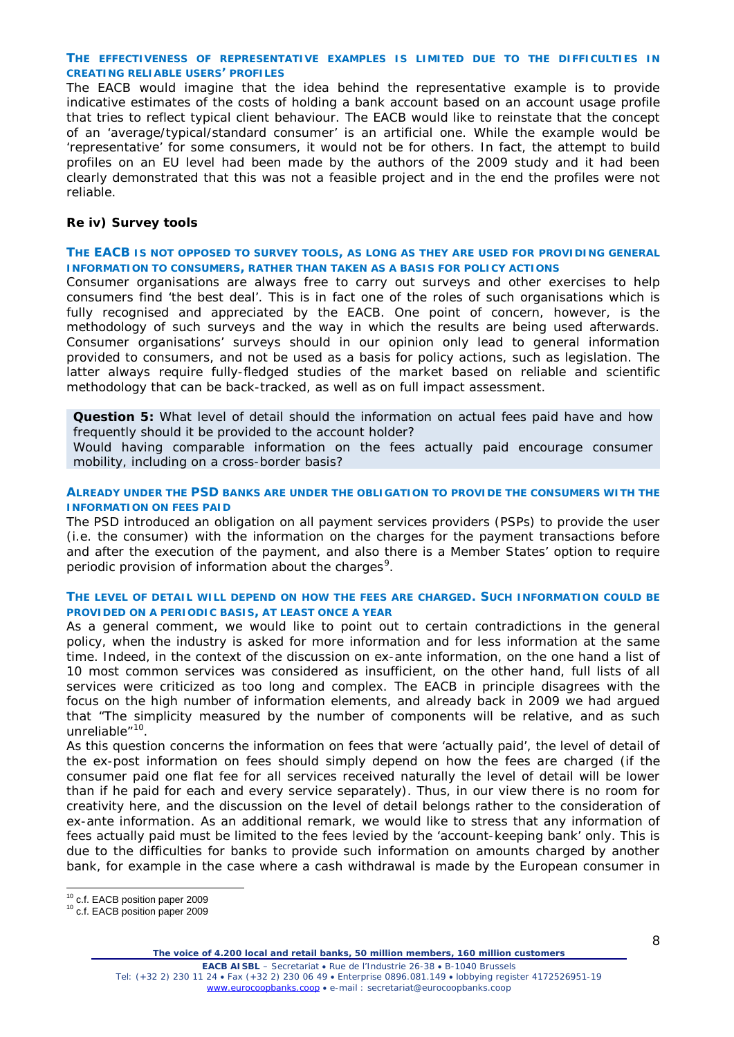# **THE EFFECTIVENESS OF REPRESENTATIVE EXAMPLES IS LIMITED DUE TO THE DIFFICULTIES IN CREATING RELIABLE USERS' PROFILES**

The EACB would imagine that the idea behind the representative example is to provide indicative estimates of the costs of holding a bank account based on an account usage profile that tries to reflect typical client behaviour. The EACB would like to reinstate that the concept of an 'average/typical/standard consumer' is an artificial one. While the example would be 'representative' for some consumers, it would not be for others. In fact, the attempt to build profiles on an EU level had been made by the authors of the 2009 study and it had been clearly demonstrated that this was not a feasible project and in the end the profiles were not reliable.

# **Re iv) Survey tools**

# **THE EACB IS NOT OPPOSED TO SURVEY TOOLS, AS LONG AS THEY ARE USED FOR PROVIDING GENERAL INFORMATION TO CONSUMERS, RATHER THAN TAKEN AS A BASIS FOR POLICY ACTIONS**

Consumer organisations are always free to carry out surveys and other exercises to help consumers find 'the best deal'. This is in fact one of the roles of such organisations which is fully recognised and appreciated by the EACB. One point of concern, however, is the methodology of such surveys and the way in which the results are being used afterwards. Consumer organisations' surveys should in our opinion only lead to general information provided to consumers, and not be used as a basis for policy actions, such as legislation. The latter always require fully-fledged studies of the market based on reliable and scientific methodology that can be back-tracked, as well as on full impact assessment.

**Question 5:** What level of detail should the information on actual fees paid have and how frequently should it be provided to the account holder?

Would having comparable information on the fees actually paid encourage consumer mobility, including on a cross-border basis?

## **ALREADY UNDER THE PSD BANKS ARE UNDER THE OBLIGATION TO PROVIDE THE CONSUMERS WITH THE INFORMATION ON FEES PAID**

The PSD introduced an obligation on all payment services providers (PSPs) to provide the user (i.e. the consumer) with the information on the charges for the payment transactions before and after the execution of the payment, and also there is a Member States' option to require periodic provision of information about the charges<sup>[9](#page-5-2)</sup>.

## **THE LEVEL OF DETAIL WILL DEPEND ON HOW THE FEES ARE CHARGED. SUCH INFORMATION COULD BE PROVIDED ON A PERIODIC BASIS, AT LEAST ONCE A YEAR**

As a general comment, we would like to point out to certain contradictions in the general policy, when the industry is asked for more information and for less information at the same time. Indeed, in the context of the discussion on ex-ante information, on the one hand a list of 10 most common services was considered as insufficient, on the other hand, full lists of all services were criticized as too long and complex. The EACB in principle disagrees with the focus on the high number of information elements, and already back in 2009 we had argued that *"The simplicity measured by the number of components will be relative, and as such unreliable"[10](#page-7-0)* .

As this question concerns the information on fees that were 'actually paid', the level of detail of the ex-post information on fees should simply depend on how the fees are charged (if the consumer paid one flat fee for all services received naturally the level of detail will be lower than if he paid for each and every service separately). Thus, in our view there is no room for creativity here, and the discussion on the level of detail belongs rather to the consideration of ex-ante information. As an additional remark, we would like to stress that any information of fees actually paid must be limited to the fees levied by the 'account-keeping bank' only. This is due to the difficulties for banks to provide such information on amounts charged by another bank, for example in the case where a cash withdrawal is made by the European consumer in

<span id="page-7-0"></span>

<sup>&</sup>lt;sup>10</sup> c.f. EACB position paper 2009<br><sup>10</sup> c.f. EACB position paper 2009

*The voice of 4.200 local and retail banks, 50 million members, 160 million customers*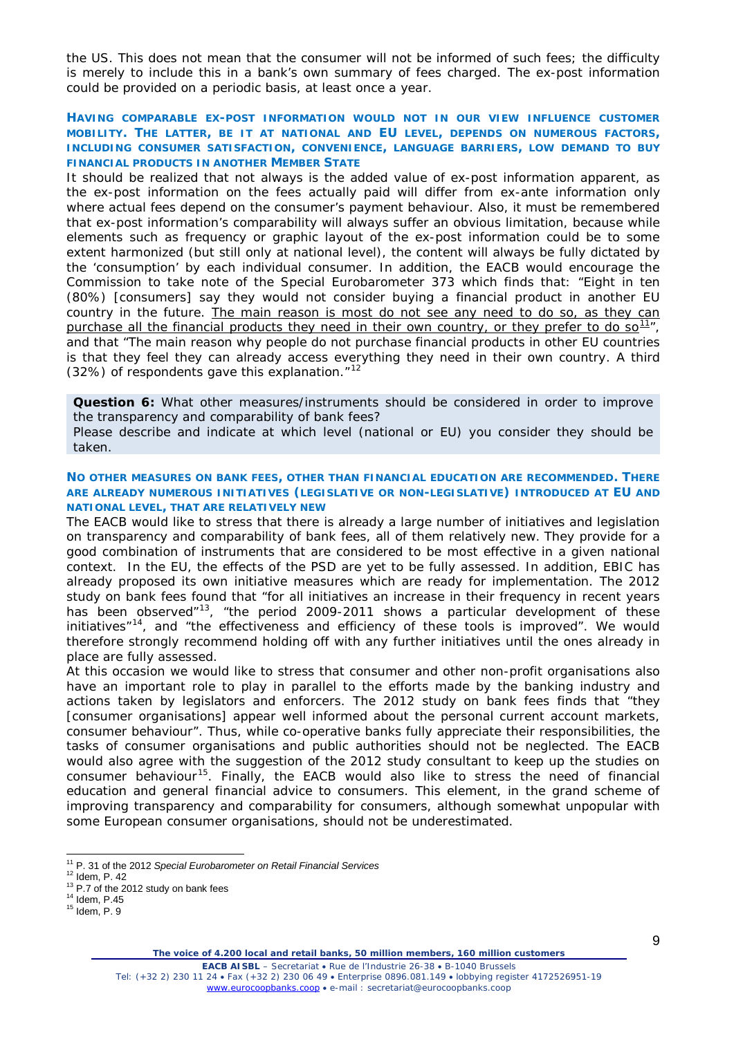the US. This does not mean that the consumer will not be informed of such fees; the difficulty is merely to include this in a bank's own summary of fees charged. The ex-post information could be provided on a periodic basis, at least once a year.

# **HAVING COMPARABLE EX-POST INFORMATION WOULD NOT IN OUR VIEW INFLUENCE CUSTOMER MOBILITY. THE LATTER, BE IT AT NATIONAL AND EU LEVEL, DEPENDS ON NUMEROUS FACTORS, INCLUDING CONSUMER SATISFACTION, CONVENIENCE, LANGUAGE BARRIERS, LOW DEMAND TO BUY FINANCIAL PRODUCTS IN ANOTHER MEMBER STATE**

It should be realized that not always is the added value of ex-post information apparent, as the ex-post information on the fees actually paid will differ from ex-ante information only where actual fees depend on the consumer's payment behaviour. Also, it must be remembered that ex-post information's comparability will always suffer an obvious limitation, because while elements such as frequency or graphic layout of the ex-post information could be to some extent harmonized (but still only at national level), the content will always be fully dictated by the 'consumption' by each individual consumer. In addition, the EACB would encourage the Commission to take note of the *Special Eurobarometer 373* which finds that: *"Eight in ten (80%)* [consumers] *say they would not consider buying a financial product in another EU country in the future. The main reason is most do not see any need to do so, as they can purchase all the financial products they need in their own country, or they prefer to do so[11](#page-8-0)",*  and that *"The main reason why people do not purchase financial products in other EU countries is that they feel they can already access everything they need in their own country. A third (32%) of respondents gave this explanation."[12](#page-8-1)*

**Question 6:** What other measures/instruments should be considered in order to improve the transparency and comparability of bank fees?

Please describe and indicate at which level (national or EU) you consider they should be taken.

# **NO OTHER MEASURES ON BANK FEES, OTHER THAN FINANCIAL EDUCATION ARE RECOMMENDED. THERE ARE ALREADY NUMEROUS INITIATIVES (LEGISLATIVE OR NON-LEGISLATIVE) INTRODUCED AT EU AND NATIONAL LEVEL, THAT ARE RELATIVELY NEW**

The EACB would like to stress that there is already a large number of initiatives and legislation on transparency and comparability of bank fees, all of them relatively new. They provide for a good combination of instruments that are considered to be most effective in a given national context. In the EU, the effects of the PSD are yet to be fully assessed. In addition, EBIC has already proposed its own initiative measures which are ready for implementation. The 2012 study on bank fees found that "*for all initiatives an increase in their frequency in recent years has been observed"[13](#page-8-2)*, *"the period 2009-2011 shows a particular development of these initiatives*"[14](#page-8-3) , and *"the effectiveness and efficiency of these tools is improved".* We would therefore strongly recommend holding off with any further initiatives until the ones already in place are fully assessed.

At this occasion we would like to stress that consumer and other non-profit organisations also have an important role to play in parallel to the efforts made by the banking industry and actions taken by legislators and enforcers. The 2012 study on bank fees finds that *"they*  [consumer organisations] *appear well informed about the personal current account markets, consumer behaviour".* Thus*,* while co-operative banks fully appreciate their responsibilities, the tasks of consumer organisations and public authorities should not be neglected. The EACB would also agree with the suggestion of the 2012 study consultant to keep up the studies on consumer behaviour<sup>15</sup>. Finally, the EACB would also like to stress the need of financial education and general financial advice to consumers. This element, in the grand scheme of improving transparency and comparability for consumers, although somewhat unpopular with some European consumer organisations, should not be underestimated.

*The voice of 4.200 local and retail banks, 50 million members, 160 million customers*

<span id="page-8-1"></span><span id="page-8-0"></span><sup>&</sup>lt;sup>11</sup> P. 31 of the 2012 *Special Eurobarometer on Retail Financial Services*<br><sup>12</sup> Idem, P. 42<br><sup>13</sup> P.7 of the 2012 study on bank fees<br><sup>14</sup> Idem, P.45<br><sup>15</sup> Idem, P. 9

<span id="page-8-2"></span>

<span id="page-8-4"></span><span id="page-8-3"></span>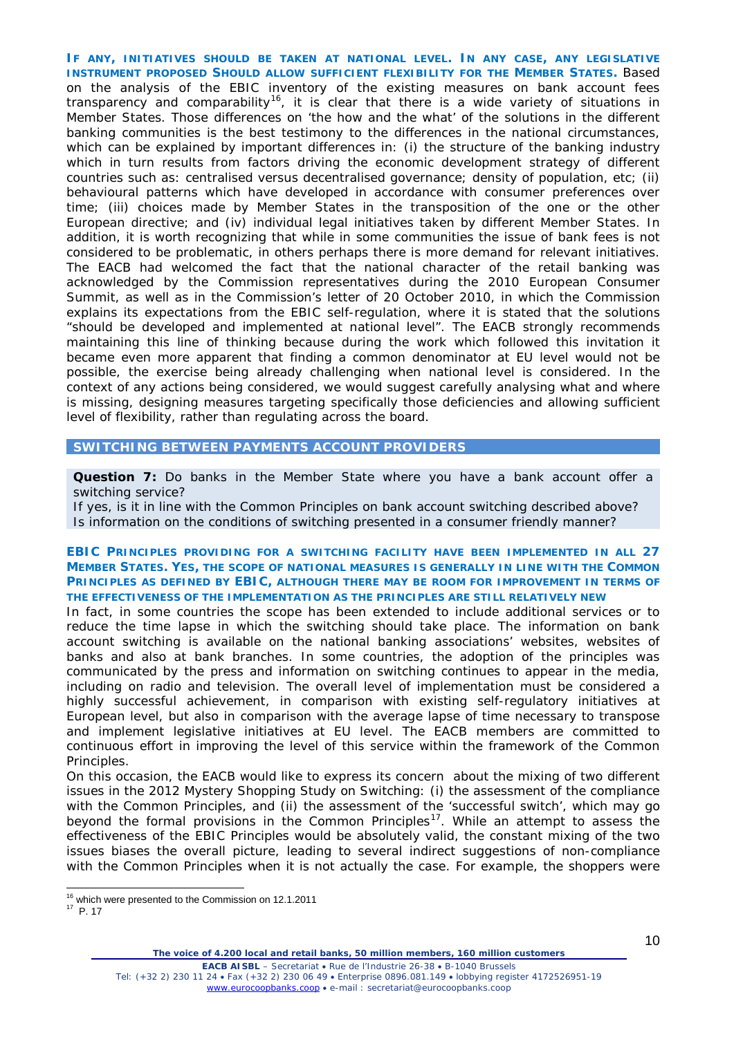**IF ANY, INITIATIVES SHOULD BE TAKEN AT NATIONAL LEVEL. IN ANY CASE, ANY LEGISLATIVE INSTRUMENT PROPOSED SHOULD ALLOW SUFFICIENT FLEXIBILITY FOR THE MEMBER STATES.** Based on the analysis of the EBIC inventory of the existing measures on bank account fees transparency and comparability<sup>[16](#page-9-0)</sup>, it is clear that there is a wide variety of situations in Member States. Those differences on 'the how and the what' of the solutions in the different banking communities is the best testimony to the differences in the national circumstances, which can be explained by important differences in: (i) the structure of the banking industry which in turn results from factors driving the economic development strategy of different countries such as: centralised versus decentralised governance; density of population, etc; (ii) behavioural patterns which have developed in accordance with consumer preferences over time; (iii) choices made by Member States in the transposition of the one or the other European directive; and (iv) individual legal initiatives taken by different Member States. In addition, it is worth recognizing that while in some communities the issue of bank fees is not considered to be problematic, in others perhaps there is more demand for relevant initiatives. The EACB had welcomed the fact that the national character of the retail banking was acknowledged by the Commission representatives during the 2010 European Consumer Summit, as well as in the Commission's letter of 20 October 2010, in which the Commission explains its expectations from the EBIC self-regulation, where it is stated that the solutions *"should be developed and implemented at national level".* The EACB strongly recommends maintaining this line of thinking because during the work which followed this invitation it became even more apparent that finding a common denominator at EU level would not be possible, the exercise being already challenging when national level is considered. In the context of any actions being considered, we would suggest carefully analysing what and where is missing, designing measures targeting specifically those deficiencies and allowing sufficient level of flexibility, rather than regulating across the board.

# **SWITCHING BETWEEN PAYMENTS ACCOUNT PROVIDERS**

**Question 7:** Do banks in the Member State where you have a bank account offer a switching service?

If yes, is it in line with the Common Principles on bank account switching described above? Is information on the conditions of switching presented in a consumer friendly manner?

# **EBIC PRINCIPLES PROVIDING FOR A SWITCHING FACILITY HAVE BEEN IMPLEMENTED IN ALL 27 MEMBER STATES. YES, THE SCOPE OF NATIONAL MEASURES IS GENERALLY IN LINE WITH THE COMMON PRINCIPLES AS DEFINED BY EBIC, ALTHOUGH THERE MAY BE ROOM FOR IMPROVEMENT IN TERMS OF THE EFFECTIVENESS OF THE IMPLEMENTATION AS THE PRINCIPLES ARE STILL RELATIVELY NEW**

In fact, in some countries the scope has been extended to include additional services or to reduce the time lapse in which the switching should take place. The information on bank account switching is available on the national banking associations' websites, websites of banks and also at bank branches. In some countries, the adoption of the principles was communicated by the press and information on switching continues to appear in the media, including on radio and television. The overall level of implementation must be considered a highly successful achievement, in comparison with existing self-regulatory initiatives at European level, but also in comparison with the average lapse of time necessary to transpose and implement legislative initiatives at EU level. The EACB members are committed to continuous effort in improving the level of this service within the framework of the Common Principles.

On this occasion, the EACB would like to express its concern about the mixing of two different issues in the 2012 Mystery Shopping Study on Switching: (i) the assessment of the compliance with the Common Principles, and (ii) the assessment of the 'successful switch', which may go beyond the formal provisions in the Common Principles<sup>[17](#page-9-1)</sup>. While an attempt to assess the effectiveness of the EBIC Principles would be absolutely valid, the constant mixing of the two issues biases the overall picture, leading to several indirect suggestions of non-compliance with the Common Principles when it is not actually the case. For example, the shoppers were

<sup>&</sup>lt;sup>16</sup> which were presented to the Commission on 12.1.2011

<span id="page-9-1"></span><span id="page-9-0"></span> $17$  P. 17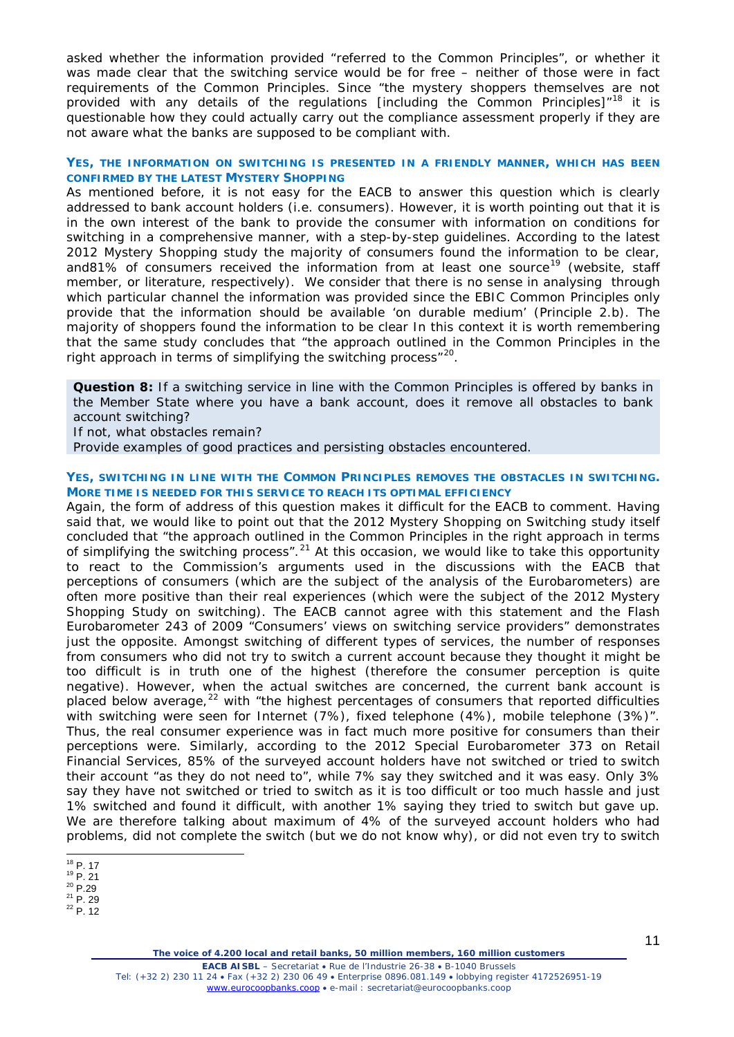asked whether the information provided *"referred to the Common Principles",* or whether it was made clear that the switching service would be for free – neither of those were in fact requirements of the Common Principles. Since *"the mystery shoppers themselves are not provided with any details of the regulations* [including the Common Principles]*"[18](#page-10-0)* it is questionable how they could actually carry out the compliance assessment properly if they are not aware what the banks are supposed to be compliant with.

# **YES, THE INFORMATION ON SWITCHING IS PRESENTED IN A FRIENDLY MANNER, WHICH HAS BEEN CONFIRMED BY THE LATEST MYSTERY SHOPPING**

As mentioned before, it is not easy for the EACB to answer this question which is clearly addressed to bank account holders (i.e. consumers). However, it is worth pointing out that it is in the own interest of the bank to provide the consumer with information on conditions for switching in a comprehensive manner, with a step-by-step guidelines. According to the latest 2012 Mystery Shopping study the majority of consumers found the information to be clear, and81% of consumers received the information from at least one source<sup>[19](#page-10-1)</sup> (website, staff member, or literature, respectively). We consider that there is no sense in analysing through which particular channel the information was provided since the EBIC Common Principles only provide that the information should be available 'on durable medium' (Principle 2.b). The majority of shoppers found the information to be clear In this context it is worth remembering that the same study concludes that *"the approach outlined in the Common Principles in the right approach in terms of simplifying the switching process"[20](#page-10-2)*.

**Question 8:** If a switching service in line with the Common Principles is offered by banks in the Member State where you have a bank account, does it remove all obstacles to bank account switching?

If not, what obstacles remain?

Provide examples of good practices and persisting obstacles encountered.

# **YES, SWITCHING IN LINE WITH THE COMMON PRINCIPLES REMOVES THE OBSTACLES IN SWITCHING. MORE TIME IS NEEDED FOR THIS SERVICE TO REACH ITS OPTIMAL EFFICIENCY**

Again, the form of address of this question makes it difficult for the EACB to comment. Having said that, we would like to point out that the 2012 Mystery Shopping on Switching study itself concluded that *"the approach outlined in the Common Principles in the right approach in terms of simplifying the switching process".[21](#page-10-3)* At this occasion, we would like to take this opportunity to react to the Commission's arguments used in the discussions with the EACB that perceptions of consumers (which are the subject of the analysis of the Eurobarometers) are often more positive than their real experiences (which were the subject of the 2012 Mystery Shopping Study on switching). The EACB cannot agree with this statement and the Flash Eurobarometer 243 of 2009 *"Consumers' views on switching service providers"* demonstrates just the opposite. Amongst switching of different types of services, the number of responses from consumers who did not try to switch a current account because they thought it might be too difficult is in truth one of the highest (therefore the consumer perception is quite negative). However, when the actual switches are concerned, the current bank account is placed below average,<sup>[22](#page-10-4)</sup> with *"the highest percentages of consumers that reported difficulties with switching were seen for Internet (7%), fixed telephone (4%), mobile telephone (3%)".*  Thus, the real consumer experience was in fact much more positive for consumers than their perceptions were. Similarly, according to the 2012 Special Eurobarometer 373 on Retail Financial Services, 85% of the surveyed account holders have not switched or tried to switch their account "as they do not need to", while 7% say they switched and it was easy. Only 3% say they have not switched or tried to switch as it is too difficult or too much hassle and just 1% switched and found it difficult, with another 1% saying they tried to switch but gave up. We are therefore talking about maximum of 4% of the surveyed account holders who had problems, did not complete the switch (but we do not know why), or did not even try to switch

<span id="page-10-3"></span><span id="page-10-2"></span><span id="page-10-1"></span> $^{20}$  P. 29<br>  $^{21}$  P. 29<br>  $^{22}$  P. 12

**EACB AISBL** – Secretariat • Rue de l'Industrie 26-38 • B-1040 Brussels Tel: (+32 2) 230 11 24 • Fax (+32 2) 230 06 49 • Enterprise 0896.081.149 • lobbying register 4172526951-19 [www.eurocoopbanks.coop](http://www.eurocoopbanks.coop/) • e-mail : secretariat@eurocoopbanks.coop

<span id="page-10-0"></span> $^{18}$  P. 17<br> $^{19}$  P. 21

<span id="page-10-4"></span>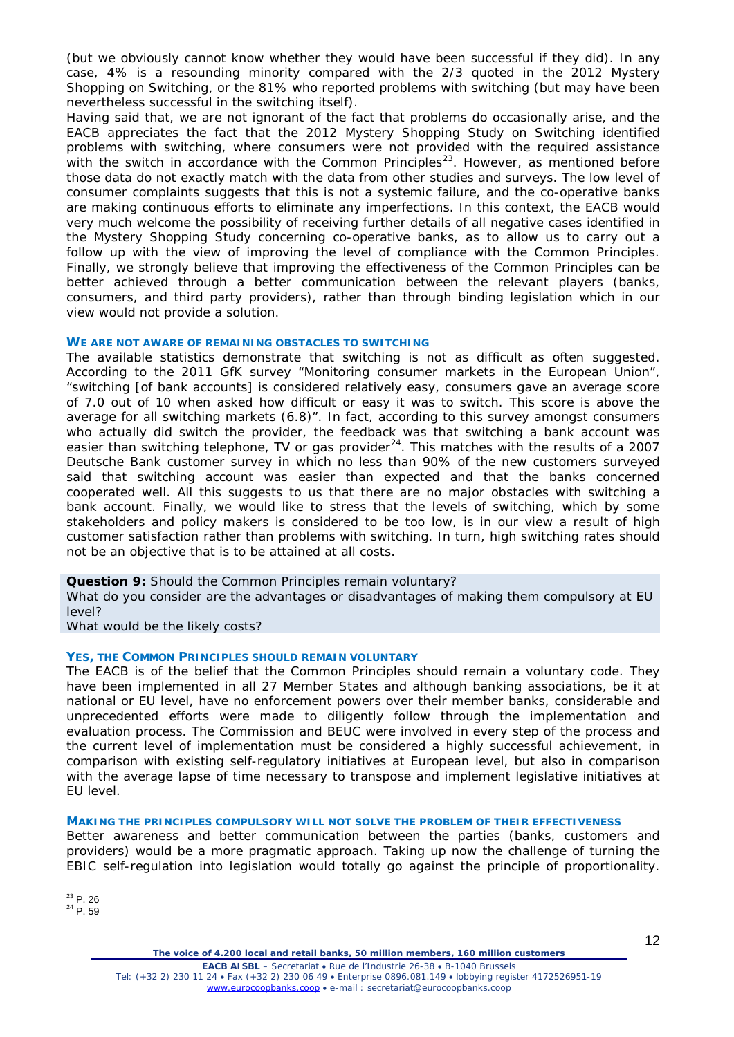(but we obviously cannot know whether they would have been successful if they did). In any case, 4% is a resounding minority compared with the 2/3 quoted in the 2012 Mystery Shopping on Switching, or the 81% who reported problems with switching (but may have been nevertheless successful in the switching itself).

Having said that, we are not ignorant of the fact that problems do occasionally arise, and the EACB appreciates the fact that the 2012 Mystery Shopping Study on Switching identified problems with switching, where consumers were not provided with the required assistance with the switch in accordance with the Common Principles<sup>23</sup>. However, as mentioned before those data do not exactly match with the data from other studies and surveys. The low level of consumer complaints suggests that this is not a systemic failure, and the co-operative banks are making continuous efforts to eliminate any imperfections. In this context, the EACB would very much welcome the possibility of receiving further details of all negative cases identified in the Mystery Shopping Study concerning co-operative banks, as to allow us to carry out a follow up with the view of improving the level of compliance with the Common Principles. Finally, we strongly believe that improving the effectiveness of the Common Principles can be better achieved through a better communication between the relevant players (banks, consumers, and third party providers), rather than through binding legislation which in our view would not provide a solution.

## **WE ARE NOT AWARE OF REMAINING OBSTACLES TO SWITCHING**

The available statistics demonstrate that switching is not as difficult as often suggested. According to the 2011 GfK survey "*Monitoring consumer markets in the European Union", "switching* [of bank accounts] *is considered relatively easy, consumers gave an average score of 7.0 out of 10 when asked how difficult or easy it was to switch. This score is above the average for all switching markets (6.8)".* In fact, according to this survey amongst consumers who actually did switch the provider, the feedback was that switching a bank account was easier than switching telephone, TV or gas provider $^{24}$  $^{24}$  $^{24}$ . This matches with the results of a 2007 Deutsche Bank customer survey in which no less than 90% of the new customers surveyed said that switching account was easier than expected and that the banks concerned cooperated well. All this suggests to us that there are no major obstacles with switching a bank account. Finally, we would like to stress that the levels of switching, which by some stakeholders and policy makers is considered to be too low, is in our view a result of high customer satisfaction rather than problems with switching. In turn, high switching rates should not be an objective that is to be attained at all costs.

**Question 9:** Should the Common Principles remain voluntary?

What do you consider are the advantages or disadvantages of making them compulsory at EU level?

What would be the likely costs?

# **YES, THE COMMON PRINCIPLES SHOULD REMAIN VOLUNTARY**

The EACB is of the belief that the Common Principles should remain a voluntary code. They have been implemented in all 27 Member States and although banking associations, be it at national or EU level, have no enforcement powers over their member banks, considerable and unprecedented efforts were made to diligently follow through the implementation and evaluation process. The Commission and BEUC were involved in every step of the process and the current level of implementation must be considered a highly successful achievement, in comparison with existing self-regulatory initiatives at European level, but also in comparison with the average lapse of time necessary to transpose and implement legislative initiatives at EU level.

#### **MAKING THE PRINCIPLES COMPULSORY WILL NOT SOLVE THE PROBLEM OF THEIR EFFECTIVENESS**

Better awareness and better communication between the parties (banks, customers and providers) would be a more pragmatic approach. Taking up now the challenge of turning the EBIC self-regulation into legislation would totally go against the principle of proportionality.

**EACB AISBL** – Secretariat • Rue de l'Industrie 26-38 • B-1040 Brussels Tel: (+32 2) 230 11 24 • Fax (+32 2) 230 06 49 • Enterprise 0896.081.149 • lobbying register 4172526951-19 [www.eurocoopbanks.coop](http://www.eurocoopbanks.coop/) • e-mail : secretariat@eurocoopbanks.coop

<span id="page-11-1"></span><span id="page-11-0"></span> $^{23}$  P. 26<br> $^{24}$  P. 59

*The voice of 4.200 local and retail banks, 50 million members, 160 million customers*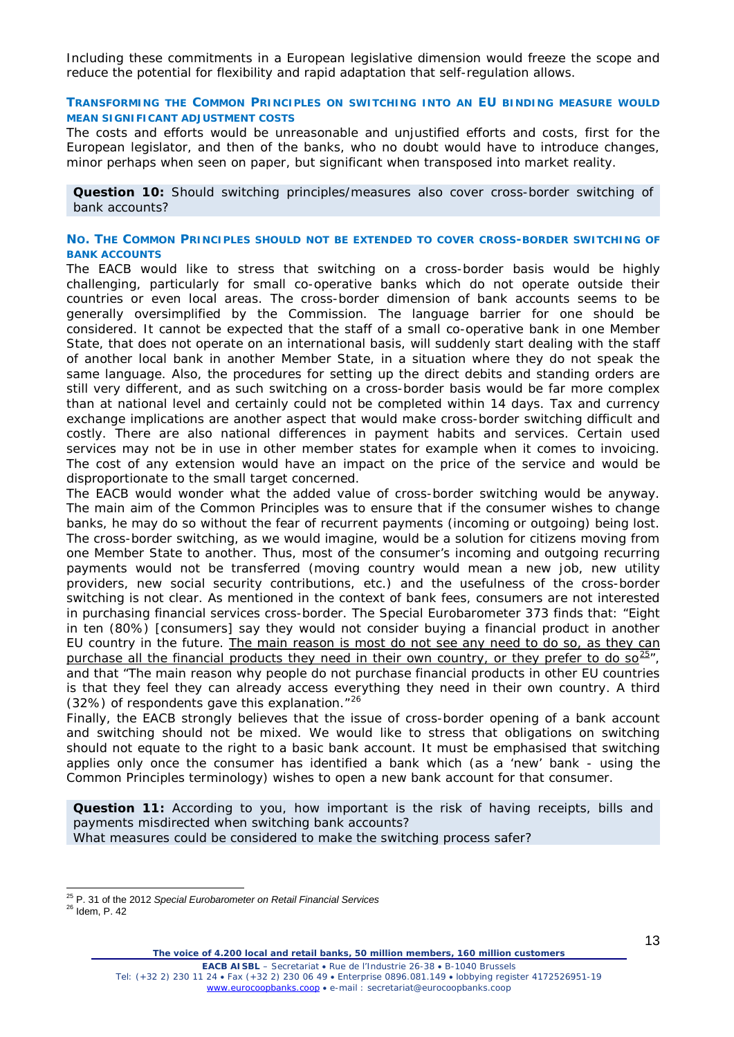Including these commitments in a European legislative dimension would freeze the scope and reduce the potential for flexibility and rapid adaptation that self-regulation allows.

# **TRANSFORMING THE COMMON PRINCIPLES ON SWITCHING INTO AN EU BINDING MEASURE WOULD MEAN SIGNIFICANT ADJUSTMENT COSTS**

The costs and efforts would be unreasonable and unjustified efforts and costs, first for the European legislator, and then of the banks, who no doubt would have to introduce changes, minor perhaps when seen on paper, but significant when transposed into market reality.

**Question 10:** Should switching principles/measures also cover cross-border switching of bank accounts?

#### **NO. THE COMMON PRINCIPLES SHOULD NOT BE EXTENDED TO COVER CROSS-BORDER SWITCHING OF BANK ACCOUNTS**

The EACB would like to stress that switching on a cross-border basis would be highly challenging, particularly for small co-operative banks which do not operate outside their countries or even local areas. The cross-border dimension of bank accounts seems to be generally oversimplified by the Commission. The language barrier for one should be considered. It cannot be expected that the staff of a small co-operative bank in one Member State, that does not operate on an international basis, will suddenly start dealing with the staff of another local bank in another Member State, in a situation where they do not speak the same language. Also, the procedures for setting up the direct debits and standing orders are still very different, and as such switching on a cross-border basis would be far more complex than at national level and certainly could not be completed within 14 days. Tax and currency exchange implications are another aspect that would make cross-border switching difficult and costly. There are also national differences in payment habits and services. Certain used services may not be in use in other member states for example when it comes to invoicing. The cost of any extension would have an impact on the price of the service and would be disproportionate to the small target concerned.

The EACB would wonder what the added value of cross-border switching would be anyway. The main aim of the Common Principles was to ensure that if the consumer wishes to change banks, he may do so without the fear of recurrent payments (incoming or outgoing) being lost. The cross-border switching, as we would imagine, would be a solution for citizens moving from one Member State to another. Thus, most of the consumer's incoming and outgoing recurring payments would not be transferred (moving country would mean a new job, new utility providers, new social security contributions, etc.) and the usefulness of the cross-border switching is not clear. As mentioned in the context of bank fees, consumers are not interested in purchasing financial services cross-border. The *Special Eurobarometer 373* finds that: *"Eight in ten (80%)* [consumers] *say they would not consider buying a financial product in another EU country in the future. The main reason is most do not see any need to do so, as they can purchase all the financial products they need in their own country, or they prefer to do so[25](#page-12-0)",*  and that *"The main reason why people do not purchase financial products in other EU countries is that they feel they can already access everything they need in their own country. A third (32%) of respondents gave this explanation."[26](#page-12-1)*

Finally, the EACB strongly believes that the issue of cross-border opening of a bank account and switching should not be mixed. We would like to stress that obligations on switching should not equate to the right to a basic bank account. It must be emphasised that switching applies only once the consumer has identified a bank which (as a 'new' bank - using the Common Principles terminology) wishes to open a new bank account for that consumer.

**Question 11:** According to you, how important is the risk of having receipts, bills and payments misdirected when switching bank accounts? What measures could be considered to make the switching process safer?

<span id="page-12-0"></span><sup>25</sup> P. 31 of the 2012 *Special Eurobarometer on Retail Financial Services* <sup>26</sup> Idem, P. 42

<span id="page-12-1"></span>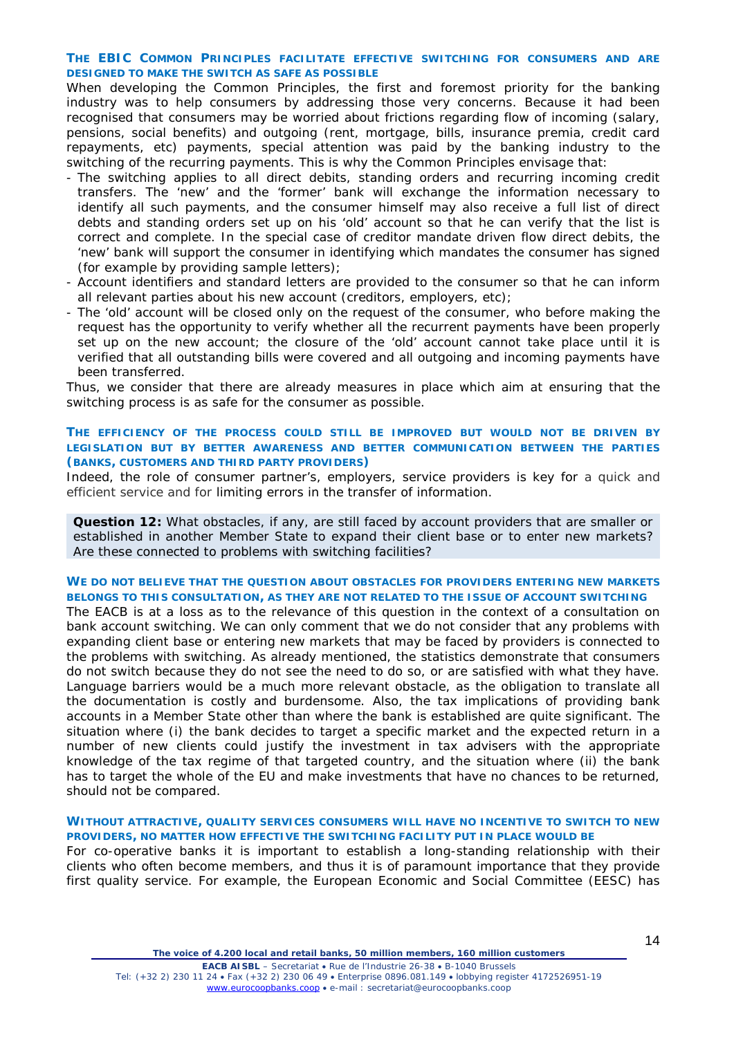# **THE EBIC COMMON PRINCIPLES FACILITATE EFFECTIVE SWITCHING FOR CONSUMERS AND ARE DESIGNED TO MAKE THE SWITCH AS SAFE AS POSSIBLE**

When developing the Common Principles, the first and foremost priority for the banking industry was to help consumers by addressing those very concerns. Because it had been recognised that consumers may be worried about frictions regarding flow of incoming (salary, pensions, social benefits) and outgoing (rent, mortgage, bills, insurance premia, credit card repayments, etc) payments, special attention was paid by the banking industry to the switching of the recurring payments. This is why the Common Principles envisage that:

- The switching applies to all direct debits, standing orders and recurring incoming credit transfers. The 'new' and the 'former' bank will exchange the information necessary to identify all such payments, and the consumer himself may also receive a full list of direct debts and standing orders set up on his 'old' account so that he can verify that the list is correct and complete. In the special case of creditor mandate driven flow direct debits, the 'new' bank will support the consumer in identifying which mandates the consumer has signed (for example by providing sample letters);
- Account identifiers and standard letters are provided to the consumer so that he can inform all relevant parties about his new account (creditors, employers, etc);
- The 'old' account will be closed only on the request of the consumer, who before making the request has the opportunity to verify whether all the recurrent payments have been properly set up on the new account; the closure of the 'old' account cannot take place until it is verified that all outstanding bills were covered and all outgoing and incoming payments have been transferred.

Thus, we consider that there are already measures in place which aim at ensuring that the switching process is as safe for the consumer as possible.

# **THE EFFICIENCY OF THE PROCESS COULD STILL BE IMPROVED BUT WOULD NOT BE DRIVEN BY LEGISLATION BUT BY BETTER AWARENESS AND BETTER COMMUNICATION BETWEEN THE PARTIES (BANKS, CUSTOMERS AND THIRD PARTY PROVIDERS)**

Indeed, the role of consumer partner's, employers, service providers is key for a quick and efficient service and for limiting errors in the transfer of information.

**Question 12:** What obstacles, if any, are still faced by account providers that are smaller or established in another Member State to expand their client base or to enter new markets? Are these connected to problems with switching facilities?

## **WE DO NOT BELIEVE THAT THE QUESTION ABOUT OBSTACLES FOR PROVIDERS ENTERING NEW MARKETS BELONGS TO THIS CONSULTATION, AS THEY ARE NOT RELATED TO THE ISSUE OF ACCOUNT SWITCHING**

The EACB is at a loss as to the relevance of this question in the context of a consultation on bank account switching. We can only comment that we do not consider that any problems with expanding client base or entering new markets that may be faced by providers is connected to the problems with switching. As already mentioned, the statistics demonstrate that consumers do not switch because they do not see the need to do so, or are satisfied with what they have. Language barriers would be a much more relevant obstacle, as the obligation to translate all the documentation is costly and burdensome. Also, the tax implications of providing bank accounts in a Member State other than where the bank is established are quite significant. The situation where (i) the bank decides to target a specific market and the expected return in a number of new clients could justify the investment in tax advisers with the appropriate knowledge of the tax regime of that targeted country, and the situation where (ii) the bank has to target the whole of the EU and make investments that have no chances to be returned, should not be compared.

#### **WITHOUT ATTRACTIVE, QUALITY SERVICES CONSUMERS WILL HAVE NO INCENTIVE TO SWITCH TO NEW PROVIDERS, NO MATTER HOW EFFECTIVE THE SWITCHING FACILITY PUT IN PLACE WOULD BE**

For co-operative banks it is important to establish a long-standing relationship with their clients who often become members, and thus it is of paramount importance that they provide first quality service. For example, the European Economic and Social Committee (EESC) has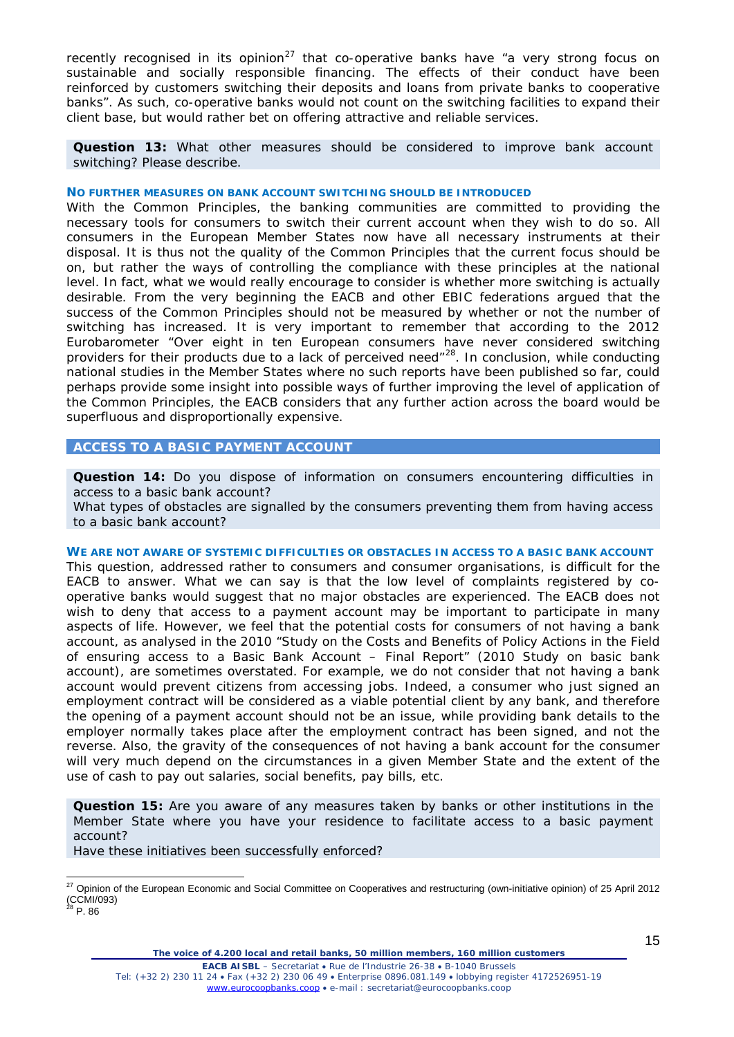recently recognised in its opinion<sup>[27](#page-14-0)</sup> that co-operative banks have *"a very strong focus on sustainable and socially responsible financing. The effects of their conduct have been reinforced by customers switching their deposits and loans from private banks to cooperative banks".* As such, co-operative banks would not count on the switching facilities to expand their client base, but would rather bet on offering attractive and reliable services.

**Question 13:** What other measures should be considered to improve bank account switching? Please describe.

## **NO FURTHER MEASURES ON BANK ACCOUNT SWITCHING SHOULD BE INTRODUCED**

With the Common Principles, the banking communities are committed to providing the necessary tools for consumers to switch their current account when they wish to do so. All consumers in the European Member States now have all necessary instruments at their disposal. It is thus not the quality of the Common Principles that the current focus should be on, but rather the ways of controlling the compliance with these principles at the national level. In fact*,* what we would really encourage to consider is whether more switching is actually desirable. From the very beginning the EACB and other EBIC federations argued that the success of the Common Principles should not be measured by whether or not the number of switching has increased. It is very important to remember that according to the 2012 Eurobarometer "*Over eight in ten European consumers have never considered switching providers for their products due to a lack of perceived need"[28.](#page-14-1)* In conclusion, while conducting national studies in the Member States where no such reports have been published so far, could perhaps provide some insight into possible ways of further improving the level of application of the Common Principles, the EACB considers that any further action across the board would be superfluous and disproportionally expensive.

# **ACCESS TO A BASIC PAYMENT ACCOUNT**

**Question 14:** Do you dispose of information on consumers encountering difficulties in access to a basic bank account?

What types of obstacles are signalled by the consumers preventing them from having access to a basic bank account?

## **WE ARE NOT AWARE OF SYSTEMIC DIFFICULTIES OR OBSTACLES IN ACCESS TO A BASIC BANK ACCOUNT**

This question, addressed rather to consumers and consumer organisations, is difficult for the EACB to answer. What we can say is that the low level of complaints registered by cooperative banks would suggest that no major obstacles are experienced. The EACB does not wish to deny that access to a payment account may be important to participate in many aspects of life. However, we feel that the potential costs for consumers of not having a bank account, as analysed in the 2010 *"Study on the Costs and Benefits of Policy Actions in the Field of ensuring access to a Basic Bank Account – Final Report"* (2010 Study on basic bank account), are sometimes overstated. For example, we do not consider that not having a bank account would prevent citizens from accessing jobs. Indeed, a consumer who just signed an employment contract will be considered as a viable potential client by any bank, and therefore the opening of a payment account should not be an issue, while providing bank details to the employer normally takes place after the employment contract has been signed, and not the reverse. Also, the gravity of the consequences of not having a bank account for the consumer will very much depend on the circumstances in a given Member State and the extent of the use of cash to pay out salaries, social benefits, pay bills, etc.

**Question 15:** Are you aware of any measures taken by banks or other institutions in the Member State where you have your residence to facilitate access to a basic payment account?

Have these initiatives been successfully enforced?

*The voice of 4.200 local and retail banks, 50 million members, 160 million customers*

<span id="page-14-1"></span><span id="page-14-0"></span><sup>&</sup>lt;sup>27</sup> Opinion of the European Economic and Social Committee on Cooperatives and restructuring (own-initiative opinion) of 25 April 2012 (CCMI/093)<br><sup>28</sup> P. 86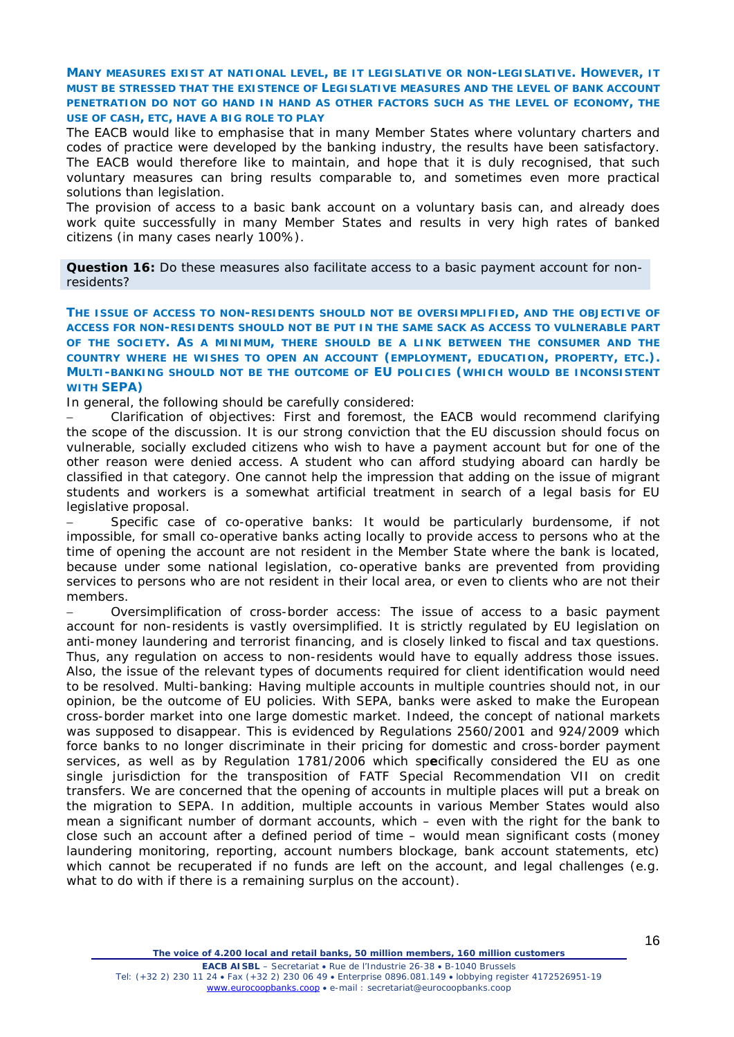**MANY MEASURES EXIST AT NATIONAL LEVEL, BE IT LEGISLATIVE OR NON-LEGISLATIVE. HOWEVER, IT MUST BE STRESSED THAT THE EXISTENCE OF LEGISLATIVE MEASURES AND THE LEVEL OF BANK ACCOUNT PENETRATION DO NOT GO HAND IN HAND AS OTHER FACTORS SUCH AS THE LEVEL OF ECONOMY, THE USE OF CASH, ETC, HAVE A BIG ROLE TO PLAY**

The EACB would like to emphasise that in many Member States where voluntary charters and codes of practice were developed by the banking industry, the results have been satisfactory. The EACB would therefore like to maintain, and hope that it is duly recognised, that such voluntary measures can bring results comparable to, and sometimes even more practical solutions than legislation.

The provision of access to a basic bank account on a voluntary basis can, and already does work quite successfully in many Member States and results in very high rates of banked citizens (in many cases nearly 100%).

**Question 16:** Do these measures also facilitate access to a basic payment account for nonresidents?

**THE ISSUE OF ACCESS TO NON-RESIDENTS SHOULD NOT BE OVERSIMPLIFIED, AND THE OBJECTIVE OF ACCESS FOR NON-RESIDENTS SHOULD NOT BE PUT IN THE SAME SACK AS ACCESS TO VULNERABLE PART OF THE SOCIETY. AS A MINIMUM, THERE SHOULD BE A LINK BETWEEN THE CONSUMER AND THE COUNTRY WHERE HE WISHES TO OPEN AN ACCOUNT (EMPLOYMENT, EDUCATION, PROPERTY, ETC.). MULTI-BANKING SHOULD NOT BE THE OUTCOME OF EU POLICIES (WHICH WOULD BE INCONSISTENT WITH SEPA)**

In general, the following should be carefully considered:

− *Clarification of objectives:* First and foremost, the EACB would recommend clarifying the scope of the discussion. It is our strong conviction that the EU discussion should focus on vulnerable, socially excluded citizens who wish to have a payment account but for one of the other reason were denied access. A student who can afford studying aboard can hardly be classified in that category. One cannot help the impression that adding on the issue of migrant students and workers is a somewhat artificial treatment in search of a legal basis for EU legislative proposal.

− *Specific case of co-operative banks:* It would be particularly burdensome, if not impossible, for small co-operative banks acting locally to provide access to persons who at the time of opening the account are not resident in the Member State where the bank is located, because under some national legislation, co-operative banks are prevented from providing services to persons who are not resident in their local area, or even to clients who are not their members.

− *Oversimplification of cross-border access:* The issue of access to a basic payment account for non-residents is vastly oversimplified. It is strictly regulated by EU legislation on anti-money laundering and terrorist financing, and is closely linked to fiscal and tax questions. Thus, any regulation on access to non-residents would have to equally address those issues. Also, the issue of the relevant types of documents required for client identification would need to be resolved. *Multi-banking: Having multiple accounts in* multiple countries should not, in our opinion, be the outcome of EU policies. With SEPA, banks were asked to make the European cross-border market into one large domestic market. Indeed, the concept of national markets was supposed to disappear. This is evidenced by Regulations 2560/2001 and 924/2009 which force banks to no longer discriminate in their pricing for domestic and cross-border payment services, as well as by Regulation 1781*/2006 which sp***e**cifically considered the EU as one single jurisdiction for the transposition of FATF Special Recommendation VII on credit transfers. We are concerned that the opening of accounts in multiple places will put a break on the migration to SEPA. In addition, multiple accounts in various Member States would also mean a significant number of dormant accounts, which – even with the right for the bank to close such an account after a defined period of time – would mean significant costs (money laundering monitoring, reporting, account numbers blockage, bank account statements, etc) which cannot be recuperated if no funds are left on the account, and legal challenges (e.g. what to do with if there is a remaining surplus on the account).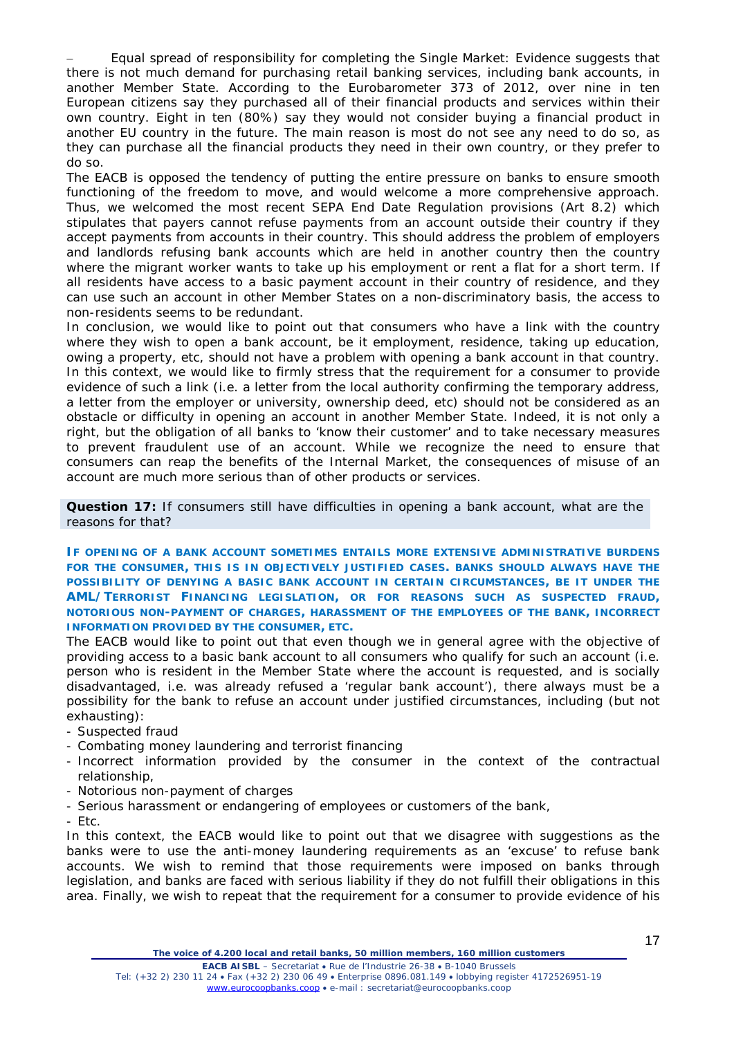− *Equal spread of responsibility for completing the Single Market:* Evidence suggests that there is not much demand for purchasing retail banking services, including bank accounts, in another Member State. According to the Eurobarometer 373 of 2012, over nine in ten European citizens say they purchased all of their financial products and services within their own country. Eight in ten (80%) say they would not consider buying a financial product in another EU country in the future. The main reason is most do not see any need to do so, as they can purchase all the financial products they need in their own country, or they prefer to do so.

The EACB is opposed the tendency of putting the entire pressure on banks to ensure smooth functioning of the freedom to move, and would welcome a more comprehensive approach. Thus, we welcomed the most recent SEPA End Date Regulation provisions (Art 8.2) which stipulates that payers cannot refuse payments from an account outside their country if they accept payments from accounts in their country. This should address the problem of employers and landlords refusing bank accounts which are held in another country then the country where the migrant worker wants to take up his employment or rent a flat for a short term. If all residents have access to a basic payment account in their country of residence, and they can use such an account in other Member States on a non-discriminatory basis, the access to non-residents seems to be redundant.

In conclusion, we would like to point out that consumers who have a link with the country where they wish to open a bank account, be it employment, residence, taking up education, owing a property, etc, should not have a problem with opening a bank account in that country. In this context, we would like to firmly stress that the requirement for a consumer to provide evidence of such a link (i.e. a letter from the local authority confirming the temporary address, a letter from the employer or university, ownership deed, etc) should not be considered as an obstacle or difficulty in opening an account in another Member State. Indeed, it is not only a right, but the obligation of all banks to 'know their customer' and to take necessary measures to prevent fraudulent use of an account. While we recognize the need to ensure that consumers can reap the benefits of the Internal Market, the consequences of misuse of an account are much more serious than of other products or services.

**Question 17:** If consumers still have difficulties in opening a bank account, what are the reasons for that?

**IF OPENING OF A BANK ACCOUNT SOMETIMES ENTAILS MORE EXTENSIVE ADMINISTRATIVE BURDENS FOR THE CONSUMER, THIS IS IN OBJECTIVELY JUSTIFIED CASES. BANKS SHOULD ALWAYS HAVE THE POSSIBILITY OF DENYING A BASIC BANK ACCOUNT IN CERTAIN CIRCUMSTANCES, BE IT UNDER THE AML/TERRORIST FINANCING LEGISLATION, OR FOR REASONS SUCH AS SUSPECTED FRAUD, NOTORIOUS NON-PAYMENT OF CHARGES, HARASSMENT OF THE EMPLOYEES OF THE BANK, INCORRECT INFORMATION PROVIDED BY THE CONSUMER, ETC.**

The EACB would like to point out that even though we in general agree with the objective of providing access to a basic bank account to all consumers who qualify for such an account (i.e. person who is resident in the Member State where the account is requested, and is socially disadvantaged, i.e. was already refused a 'regular bank account'), there always must be a possibility for the bank to refuse an account under justified circumstances, including (but not exhausting):

- Suspected fraud
- Combating money laundering and terrorist financing
- Incorrect information provided by the consumer in the context of the contractual relationship,
- Notorious non-payment of charges
- Serious harassment or endangering of employees or customers of the bank,
- $-$  Ftc.

In this context, the EACB would like to point out that we disagree with suggestions as the banks were to use the anti-money laundering requirements as an 'excuse' to refuse bank accounts. We wish to remind that those requirements were imposed on banks through legislation, and banks are faced with serious liability if they do not fulfill their obligations in this area. Finally, we wish to repeat that the requirement for a consumer to provide evidence of his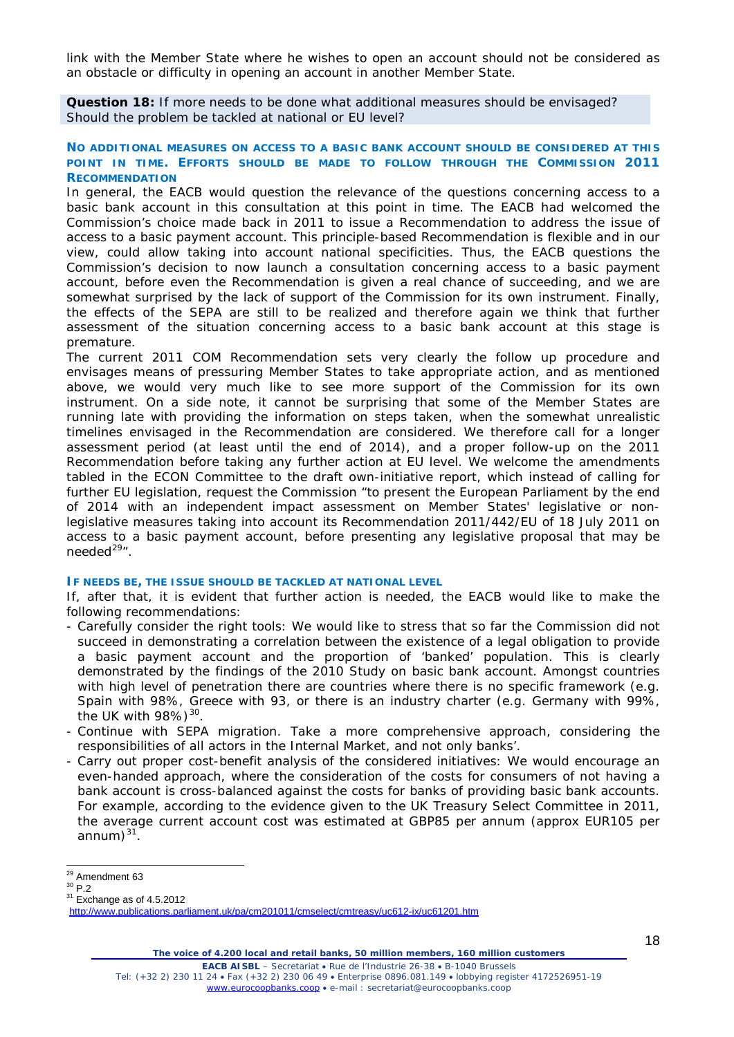link with the Member State where he wishes to open an account should not be considered as an obstacle or difficulty in opening an account in another Member State.

**Question 18:** If more needs to be done what additional measures should be envisaged? Should the problem be tackled at national or EU level?

## **NO ADDITIONAL MEASURES ON ACCESS TO A BASIC BANK ACCOUNT SHOULD BE CONSIDERED AT THIS POINT IN TIME. EFFORTS SHOULD BE MADE TO FOLLOW THROUGH THE COMMISSION 2011 RECOMMENDATION**

In general, the EACB would question the relevance of the questions concerning access to a basic bank account in this consultation at this point in time. The EACB had welcomed the Commission's choice made back in 2011 to issue a Recommendation to address the issue of access to a basic payment account. This principle-based Recommendation is flexible and in our view, could allow taking into account national specificities. Thus, the EACB questions the Commission's decision to now launch a consultation concerning access to a basic payment account, before even the Recommendation is given a real chance of succeeding, and we are somewhat surprised by the lack of support of the Commission for its own instrument. Finally, the effects of the SEPA are still to be realized and therefore again we think that further assessment of the situation concerning access to a basic bank account at this stage is premature.

The current 2011 COM Recommendation sets very clearly the follow up procedure and envisages means of pressuring Member States to take appropriate action, and as mentioned above, we would very much like to see more support of the Commission for its own instrument. On a side note, it cannot be surprising that some of the Member States are running late with providing the information on steps taken, when the somewhat unrealistic timelines envisaged in the Recommendation are considered. We therefore call for a longer assessment period (at least until the end of 2014), and a proper follow-up on the 2011 Recommendation before taking any further action at EU level. We welcome the amendments tabled in the ECON Committee to the draft own-initiative report, which instead of calling for further EU legislation, request the Commission "*to present the European Parliament by the end of 2014 with an independent impact assessment on Member States' legislative or nonlegislative measures taking into account its Recommendation 2011/442/EU of 18 July 2011 on access to a basic payment account, before presenting any legislative proposal that may be needed[29](#page-17-0)"*.

## **IF NEEDS BE, THE ISSUE SHOULD BE TACKLED AT NATIONAL LEVEL**

If, after that, it is evident that further action is needed, the EACB would like to make the following recommendations:

- *Carefully consider the right tools:* We would like to stress that so far the Commission did not succeed in demonstrating a correlation between the existence of a legal obligation to provide a basic payment account and the proportion of 'banked' population. This is clearly demonstrated by the findings of the 2010 Study on basic bank account. Amongst countries with high level of penetration there are countries where there is no specific framework (e.g. Spain with 98%, Greece with 93, or there is an industry charter (e.g. Germany with 99%, the UK with  $98\%$ )<sup>[30](#page-17-1)</sup>.
- *Continue with SEPA migration*. Take a more comprehensive approach, considering the responsibilities of all actors in the Internal Market, and not only banks'.
- *Carry out proper cost-benefit analysis of the considered initiatives:* We would encourage an even-handed approach, where the consideration of the costs for consumers of not having a bank account is cross-balanced against the costs for banks of providing basic bank accounts. For example, according to the evidence given to the UK Treasury Select Committee in 2011, the average current account cost was estimated at GBP85 per annum (approx EUR105 per annum)<sup>[31](#page-17-2)</sup>.

<span id="page-17-2"></span><span id="page-17-1"></span> $31$  Exchange as of 4.5.2012

<span id="page-17-0"></span> $^{29}$  Amendment 63<br> $^{30}$  P.2

<http://www.publications.parliament.uk/pa/cm201011/cmselect/cmtreasy/uc612-ix/uc61201.htm>